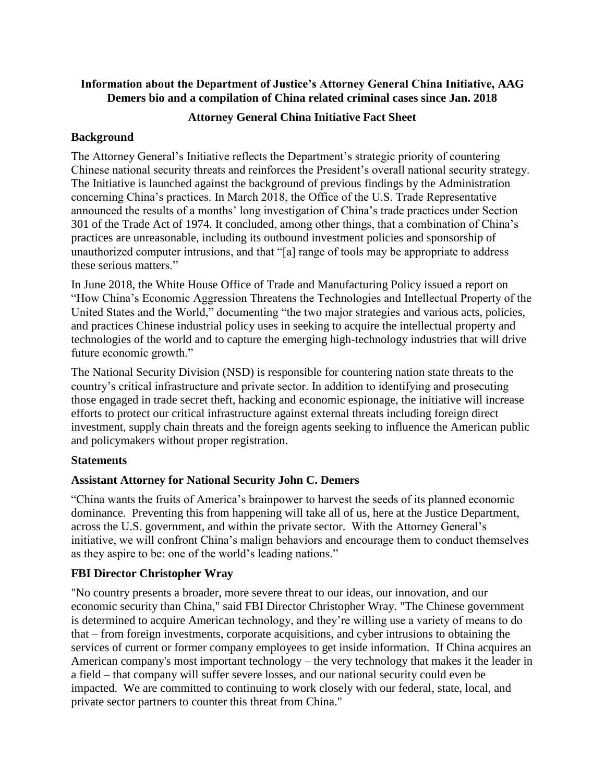# **Information about the Department of Justice's Attorney General China Initiative, AAG Demers bio and a compilation of China related criminal cases since Jan. 2018**

# **Attorney General China Initiative Fact Sheet**

# **Background**

The Attorney General's Initiative reflects the Department's strategic priority of countering Chinese national security threats and reinforces the President's overall national security strategy. The Initiative is launched against the background of previous findings by the Administration concerning China's practices. In March 2018, the Office of the U.S. Trade Representative announced the results of a months' long investigation of China's trade practices under Section 301 of the Trade Act of 1974. It concluded, among other things, that a combination of China's practices are unreasonable, including its outbound investment policies and sponsorship of unauthorized computer intrusions, and that "[a] range of tools may be appropriate to address these serious matters."

In June 2018, the White House Office of Trade and Manufacturing Policy issued a report on "How China's Economic Aggression Threatens the Technologies and Intellectual Property of the United States and the World," documenting "the two major strategies and various acts, policies, and practices Chinese industrial policy uses in seeking to acquire the intellectual property and technologies of the world and to capture the emerging high-technology industries that will drive future economic growth."

The National Security Division (NSD) is responsible for countering nation state threats to the country's critical infrastructure and private sector. In addition to identifying and prosecuting those engaged in trade secret theft, hacking and economic espionage, the initiative will increase efforts to protect our critical infrastructure against external threats including foreign direct investment, supply chain threats and the foreign agents seeking to influence the American public and policymakers without proper registration.

# **Statements**

# **Assistant Attorney for National Security John C. Demers**

"China wants the fruits of America's brainpower to harvest the seeds of its planned economic dominance. Preventing this from happening will take all of us, here at the Justice Department, across the U.S. government, and within the private sector. With the Attorney General's initiative, we will confront China's malign behaviors and encourage them to conduct themselves as they aspire to be: one of the world's leading nations."

# **FBI Director Christopher Wray**

"No country presents a broader, more severe threat to our ideas, our innovation, and our economic security than China," said FBI Director Christopher Wray. "The Chinese government is determined to acquire American technology, and they're willing use a variety of means to do that – from foreign investments, corporate acquisitions, and cyber intrusions to obtaining the services of current or former company employees to get inside information. If China acquires an American company's most important technology – the very technology that makes it the leader in a field – that company will suffer severe losses, and our national security could even be impacted. We are committed to continuing to work closely with our federal, state, local, and private sector partners to counter this threat from China."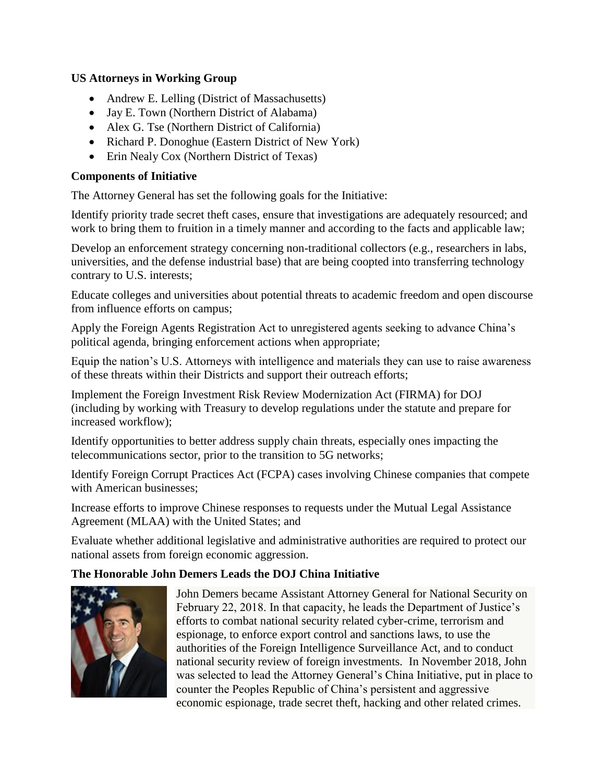# **US Attorneys in Working Group**

- Andrew E. Lelling (District of Massachusetts)
- Jay E. Town (Northern District of Alabama)
- Alex G. Tse (Northern District of California)
- Richard P. Donoghue (Eastern District of New York)
- Erin Nealy Cox (Northern District of Texas)

# **Components of Initiative**

The Attorney General has set the following goals for the Initiative:

Identify priority trade secret theft cases, ensure that investigations are adequately resourced; and work to bring them to fruition in a timely manner and according to the facts and applicable law;

Develop an enforcement strategy concerning non-traditional collectors (e.g., researchers in labs, universities, and the defense industrial base) that are being coopted into transferring technology contrary to U.S. interests;

Educate colleges and universities about potential threats to academic freedom and open discourse from influence efforts on campus;

Apply the Foreign Agents Registration Act to unregistered agents seeking to advance China's political agenda, bringing enforcement actions when appropriate;

Equip the nation's U.S. Attorneys with intelligence and materials they can use to raise awareness of these threats within their Districts and support their outreach efforts;

Implement the Foreign Investment Risk Review Modernization Act (FIRMA) for DOJ (including by working with Treasury to develop regulations under the statute and prepare for increased workflow);

Identify opportunities to better address supply chain threats, especially ones impacting the telecommunications sector, prior to the transition to 5G networks;

Identify Foreign Corrupt Practices Act (FCPA) cases involving Chinese companies that compete with American businesses;

Increase efforts to improve Chinese responses to requests under the Mutual Legal Assistance Agreement (MLAA) with the United States; and

Evaluate whether additional legislative and administrative authorities are required to protect our national assets from foreign economic aggression.

# **The Honorable John Demers Leads the DOJ China Initiative**



John Demers became Assistant Attorney General for National Security on February 22, 2018. In that capacity, he leads the Department of Justice's efforts to combat national security related cyber-crime, terrorism and espionage, to enforce export control and sanctions laws, to use the authorities of the Foreign Intelligence Surveillance Act, and to conduct national security review of foreign investments. In November 2018, John was selected to lead the Attorney General's China Initiative, put in place to counter the Peoples Republic of China's persistent and aggressive economic espionage, trade secret theft, hacking and other related crimes.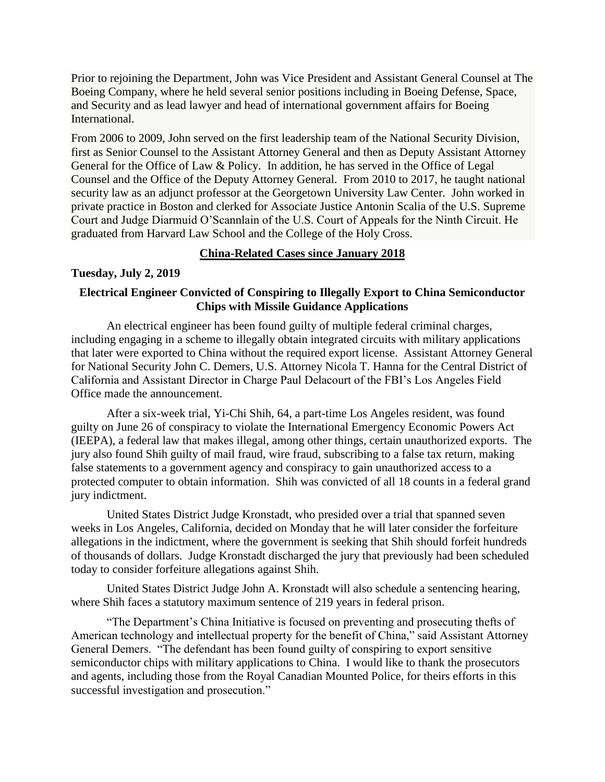Prior to rejoining the Department, John was Vice President and Assistant General Counsel at The Boeing Company, where he held several senior positions including in Boeing Defense, Space, and Security and as lead lawyer and head of international government affairs for Boeing International.

From 2006 to 2009, John served on the first leadership team of the National Security Division, first as Senior Counsel to the Assistant Attorney General and then as Deputy Assistant Attorney General for the Office of Law & Policy. In addition, he has served in the Office of Legal Counsel and the Office of the Deputy Attorney General. From 2010 to 2017, he taught national security law as an adjunct professor at the Georgetown University Law Center. John worked in private practice in Boston and clerked for Associate Justice Antonin Scalia of the U.S. Supreme Court and Judge Diarmuid O'Scannlain of the U.S. Court of Appeals for the Ninth Circuit. He graduated from Harvard Law School and the College of the Holy Cross.

## **China-Related Cases since January 2018**

# **Tuesday, July 2, 2019**

# **Electrical Engineer Convicted of Conspiring to Illegally Export to China Semiconductor Chips with Missile Guidance Applications**

An electrical engineer has been found guilty of multiple federal criminal charges, including engaging in a scheme to illegally obtain integrated circuits with military applications that later were exported to China without the required export license. Assistant Attorney General for National Security John C. Demers, U.S. Attorney Nicola T. Hanna for the Central District of California and Assistant Director in Charge Paul Delacourt of the FBI's Los Angeles Field Office made the announcement.

After a six-week trial, Yi-Chi Shih, 64, a part-time Los Angeles resident, was found guilty on June 26 of conspiracy to violate the International Emergency Economic Powers Act (IEEPA), a federal law that makes illegal, among other things, certain unauthorized exports. The jury also found Shih guilty of mail fraud, wire fraud, subscribing to a false tax return, making false statements to a government agency and conspiracy to gain unauthorized access to a protected computer to obtain information. Shih was convicted of all 18 counts in a federal grand jury indictment.

United States District Judge Kronstadt, who presided over a trial that spanned seven weeks in Los Angeles, California, decided on Monday that he will later consider the forfeiture allegations in the indictment, where the government is seeking that Shih should forfeit hundreds of thousands of dollars. Judge Kronstadt discharged the jury that previously had been scheduled today to consider forfeiture allegations against Shih.

United States District Judge John A. Kronstadt will also schedule a sentencing hearing, where Shih faces a statutory maximum sentence of 219 years in federal prison.

"The Department's China Initiative is focused on preventing and prosecuting thefts of American technology and intellectual property for the benefit of China," said Assistant Attorney General Demers. "The defendant has been found guilty of conspiring to export sensitive semiconductor chips with military applications to China. I would like to thank the prosecutors and agents, including those from the Royal Canadian Mounted Police, for theirs efforts in this successful investigation and prosecution."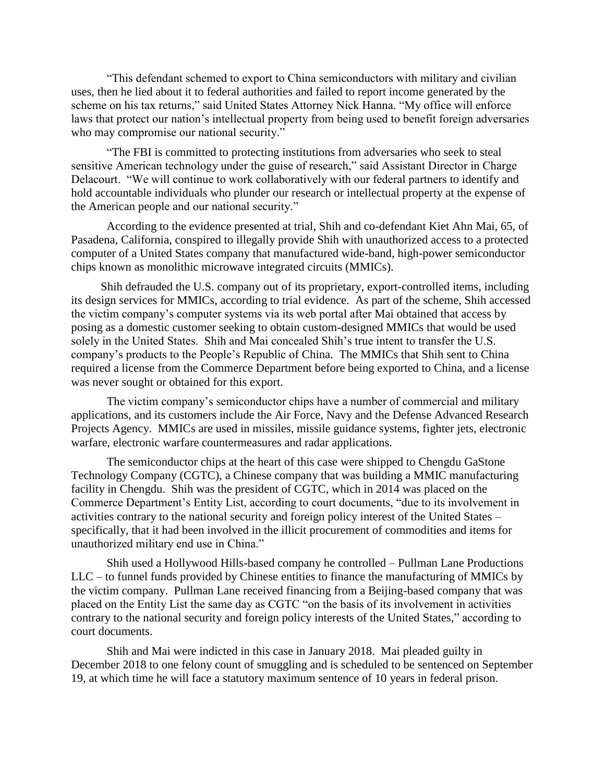"This defendant schemed to export to China semiconductors with military and civilian uses, then he lied about it to federal authorities and failed to report income generated by the scheme on his tax returns," said United States Attorney Nick Hanna. "My office will enforce laws that protect our nation's intellectual property from being used to benefit foreign adversaries who may compromise our national security."

"The FBI is committed to protecting institutions from adversaries who seek to steal sensitive American technology under the guise of research," said Assistant Director in Charge Delacourt. "We will continue to work collaboratively with our federal partners to identify and hold accountable individuals who plunder our research or intellectual property at the expense of the American people and our national security."

According to the evidence presented at trial, Shih and co-defendant Kiet Ahn Mai, 65, of Pasadena, California, conspired to illegally provide Shih with unauthorized access to a protected computer of a United States company that manufactured wide-band, high-power semiconductor chips known as monolithic microwave integrated circuits (MMICs).

 Shih defrauded the U.S. company out of its proprietary, export-controlled items, including its design services for MMICs, according to trial evidence. As part of the scheme, Shih accessed the victim company's computer systems via its web portal after Mai obtained that access by posing as a domestic customer seeking to obtain custom-designed MMICs that would be used solely in the United States. Shih and Mai concealed Shih's true intent to transfer the U.S. company's products to the People's Republic of China. The MMICs that Shih sent to China required a license from the Commerce Department before being exported to China, and a license was never sought or obtained for this export.

The victim company's semiconductor chips have a number of commercial and military applications, and its customers include the Air Force, Navy and the Defense Advanced Research Projects Agency. MMICs are used in missiles, missile guidance systems, fighter jets, electronic warfare, electronic warfare countermeasures and radar applications.

The semiconductor chips at the heart of this case were shipped to Chengdu GaStone Technology Company (CGTC), a Chinese company that was building a MMIC manufacturing facility in Chengdu. Shih was the president of CGTC, which in 2014 was placed on the Commerce Department's Entity List, according to court documents, "due to its involvement in activities contrary to the national security and foreign policy interest of the United States – specifically, that it had been involved in the illicit procurement of commodities and items for unauthorized military end use in China."

Shih used a Hollywood Hills-based company he controlled – Pullman Lane Productions LLC – to funnel funds provided by Chinese entities to finance the manufacturing of MMICs by the victim company. Pullman Lane received financing from a Beijing-based company that was placed on the Entity List the same day as CGTC "on the basis of its involvement in activities contrary to the national security and foreign policy interests of the United States," according to court documents.

Shih and Mai were indicted in this case in January 2018. Mai pleaded guilty in December 2018 to one felony count of smuggling and is scheduled to be sentenced on September 19, at which time he will face a statutory maximum sentence of 10 years in federal prison.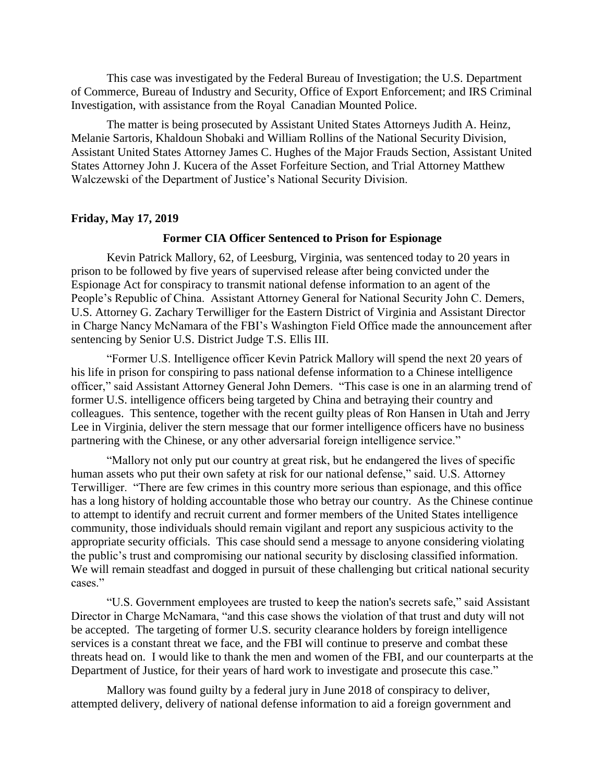This case was investigated by the Federal Bureau of Investigation; the U.S. Department of Commerce, Bureau of Industry and Security, Office of Export Enforcement; and IRS Criminal Investigation, with assistance from the Royal Canadian Mounted Police.

The matter is being prosecuted by Assistant United States Attorneys Judith A. Heinz, Melanie Sartoris, Khaldoun Shobaki and William Rollins of the National Security Division, Assistant United States Attorney James C. Hughes of the Major Frauds Section, Assistant United States Attorney John J. Kucera of the Asset Forfeiture Section, and Trial Attorney Matthew Walczewski of the Department of Justice's National Security Division.

### **Friday, May 17, 2019**

### **Former CIA Officer Sentenced to Prison for Espionage**

Kevin Patrick Mallory, 62, of Leesburg, Virginia, was sentenced today to 20 years in prison to be followed by five years of supervised release after being convicted under the Espionage Act for conspiracy to transmit national defense information to an agent of the People's Republic of China. Assistant Attorney General for National Security John C. Demers, U.S. Attorney G. Zachary Terwilliger for the Eastern District of Virginia and Assistant Director in Charge Nancy McNamara of the FBI's Washington Field Office made the announcement after sentencing by Senior U.S. District Judge T.S. Ellis III.

"Former U.S. Intelligence officer Kevin Patrick Mallory will spend the next 20 years of his life in prison for conspiring to pass national defense information to a Chinese intelligence officer," said Assistant Attorney General John Demers. "This case is one in an alarming trend of former U.S. intelligence officers being targeted by China and betraying their country and colleagues. This sentence, together with the recent guilty pleas of Ron Hansen in Utah and Jerry Lee in Virginia, deliver the stern message that our former intelligence officers have no business partnering with the Chinese, or any other adversarial foreign intelligence service."

"Mallory not only put our country at great risk, but he endangered the lives of specific human assets who put their own safety at risk for our national defense," said. U.S. Attorney Terwilliger. "There are few crimes in this country more serious than espionage, and this office has a long history of holding accountable those who betray our country. As the Chinese continue to attempt to identify and recruit current and former members of the United States intelligence community, those individuals should remain vigilant and report any suspicious activity to the appropriate security officials. This case should send a message to anyone considering violating the public's trust and compromising our national security by disclosing classified information. We will remain steadfast and dogged in pursuit of these challenging but critical national security cases."

"U.S. Government employees are trusted to keep the nation's secrets safe," said Assistant Director in Charge McNamara, "and this case shows the violation of that trust and duty will not be accepted. The targeting of former U.S. security clearance holders by foreign intelligence services is a constant threat we face, and the FBI will continue to preserve and combat these threats head on. I would like to thank the men and women of the FBI, and our counterparts at the Department of Justice, for their years of hard work to investigate and prosecute this case."

Mallory was found guilty by a federal jury in June 2018 of conspiracy to deliver, attempted delivery, delivery of national defense information to aid a foreign government and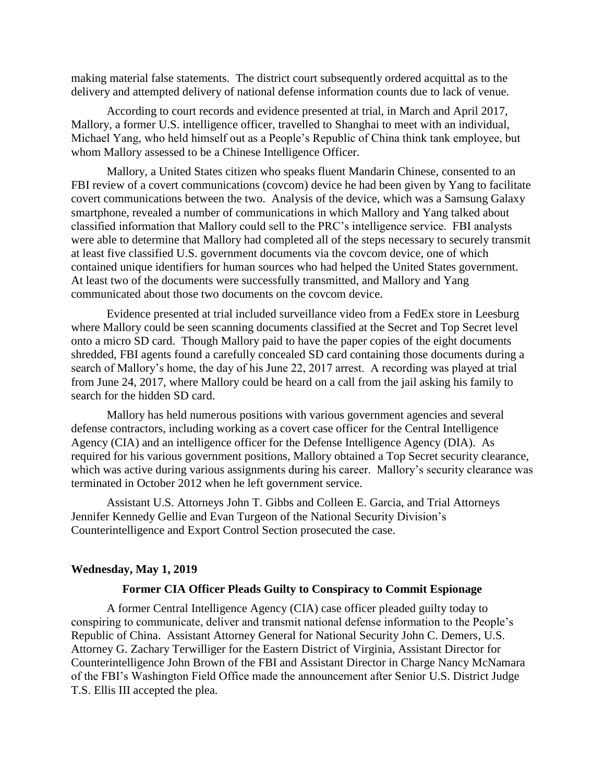making material false statements. The district court subsequently ordered acquittal as to the delivery and attempted delivery of national defense information counts due to lack of venue.

According to court records and evidence presented at trial, in March and April 2017, Mallory, a former U.S. intelligence officer, travelled to Shanghai to meet with an individual, Michael Yang, who held himself out as a People's Republic of China think tank employee, but whom Mallory assessed to be a Chinese Intelligence Officer.

Mallory, a United States citizen who speaks fluent Mandarin Chinese, consented to an FBI review of a covert communications (covcom) device he had been given by Yang to facilitate covert communications between the two. Analysis of the device, which was a Samsung Galaxy smartphone, revealed a number of communications in which Mallory and Yang talked about classified information that Mallory could sell to the PRC's intelligence service. FBI analysts were able to determine that Mallory had completed all of the steps necessary to securely transmit at least five classified U.S. government documents via the covcom device, one of which contained unique identifiers for human sources who had helped the United States government. At least two of the documents were successfully transmitted, and Mallory and Yang communicated about those two documents on the covcom device.

Evidence presented at trial included surveillance video from a FedEx store in Leesburg where Mallory could be seen scanning documents classified at the Secret and Top Secret level onto a micro SD card. Though Mallory paid to have the paper copies of the eight documents shredded, FBI agents found a carefully concealed SD card containing those documents during a search of Mallory's home, the day of his June 22, 2017 arrest. A recording was played at trial from June 24, 2017, where Mallory could be heard on a call from the jail asking his family to search for the hidden SD card.

Mallory has held numerous positions with various government agencies and several defense contractors, including working as a covert case officer for the Central Intelligence Agency (CIA) and an intelligence officer for the Defense Intelligence Agency (DIA). As required for his various government positions, Mallory obtained a Top Secret security clearance, which was active during various assignments during his career. Mallory's security clearance was terminated in October 2012 when he left government service.

Assistant U.S. Attorneys John T. Gibbs and Colleen E. Garcia, and Trial Attorneys Jennifer Kennedy Gellie and Evan Turgeon of the National Security Division's Counterintelligence and Export Control Section prosecuted the case.

### **Wednesday, May 1, 2019**

### **Former CIA Officer Pleads Guilty to Conspiracy to Commit Espionage**

A former Central Intelligence Agency (CIA) case officer pleaded guilty today to conspiring to communicate, deliver and transmit national defense information to the People's Republic of China. Assistant Attorney General for National Security John C. Demers, U.S. Attorney G. Zachary Terwilliger for the Eastern District of Virginia, Assistant Director for Counterintelligence John Brown of the FBI and Assistant Director in Charge Nancy McNamara of the FBI's Washington Field Office made the announcement after Senior U.S. District Judge T.S. Ellis III accepted the plea.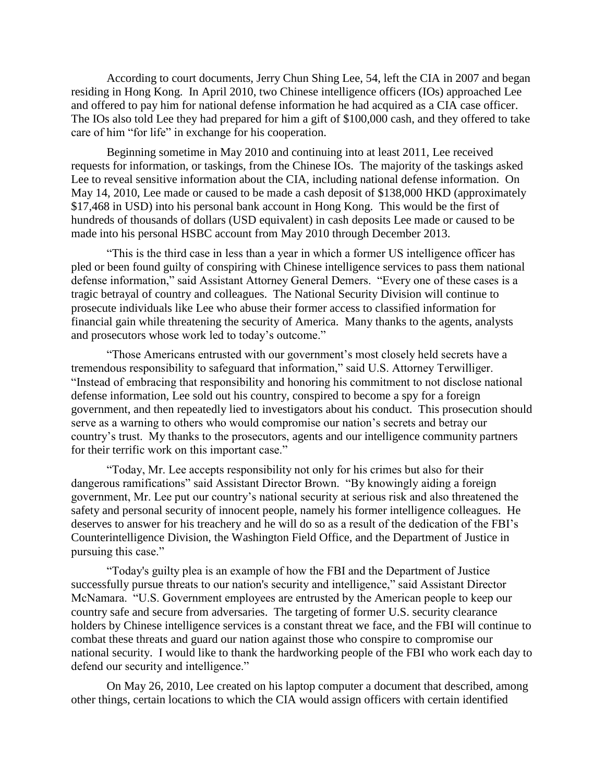According to court documents, Jerry Chun Shing Lee, 54, left the CIA in 2007 and began residing in Hong Kong. In April 2010, two Chinese intelligence officers (IOs) approached Lee and offered to pay him for national defense information he had acquired as a CIA case officer. The IOs also told Lee they had prepared for him a gift of \$100,000 cash, and they offered to take care of him "for life" in exchange for his cooperation.

Beginning sometime in May 2010 and continuing into at least 2011, Lee received requests for information, or taskings, from the Chinese IOs. The majority of the taskings asked Lee to reveal sensitive information about the CIA, including national defense information. On May 14, 2010, Lee made or caused to be made a cash deposit of \$138,000 HKD (approximately \$17,468 in USD) into his personal bank account in Hong Kong. This would be the first of hundreds of thousands of dollars (USD equivalent) in cash deposits Lee made or caused to be made into his personal HSBC account from May 2010 through December 2013.

"This is the third case in less than a year in which a former US intelligence officer has pled or been found guilty of conspiring with Chinese intelligence services to pass them national defense information," said Assistant Attorney General Demers. "Every one of these cases is a tragic betrayal of country and colleagues. The National Security Division will continue to prosecute individuals like Lee who abuse their former access to classified information for financial gain while threatening the security of America. Many thanks to the agents, analysts and prosecutors whose work led to today's outcome."

"Those Americans entrusted with our government's most closely held secrets have a tremendous responsibility to safeguard that information," said U.S. Attorney Terwilliger. "Instead of embracing that responsibility and honoring his commitment to not disclose national defense information, Lee sold out his country, conspired to become a spy for a foreign government, and then repeatedly lied to investigators about his conduct. This prosecution should serve as a warning to others who would compromise our nation's secrets and betray our country's trust. My thanks to the prosecutors, agents and our intelligence community partners for their terrific work on this important case."

"Today, Mr. Lee accepts responsibility not only for his crimes but also for their dangerous ramifications" said Assistant Director Brown. "By knowingly aiding a foreign government, Mr. Lee put our country's national security at serious risk and also threatened the safety and personal security of innocent people, namely his former intelligence colleagues. He deserves to answer for his treachery and he will do so as a result of the dedication of the FBI's Counterintelligence Division, the Washington Field Office, and the Department of Justice in pursuing this case."

"Today's guilty plea is an example of how the FBI and the Department of Justice successfully pursue threats to our nation's security and intelligence," said Assistant Director McNamara. "U.S. Government employees are entrusted by the American people to keep our country safe and secure from adversaries. The targeting of former U.S. security clearance holders by Chinese intelligence services is a constant threat we face, and the FBI will continue to combat these threats and guard our nation against those who conspire to compromise our national security. I would like to thank the hardworking people of the FBI who work each day to defend our security and intelligence."

On May 26, 2010, Lee created on his laptop computer a document that described, among other things, certain locations to which the CIA would assign officers with certain identified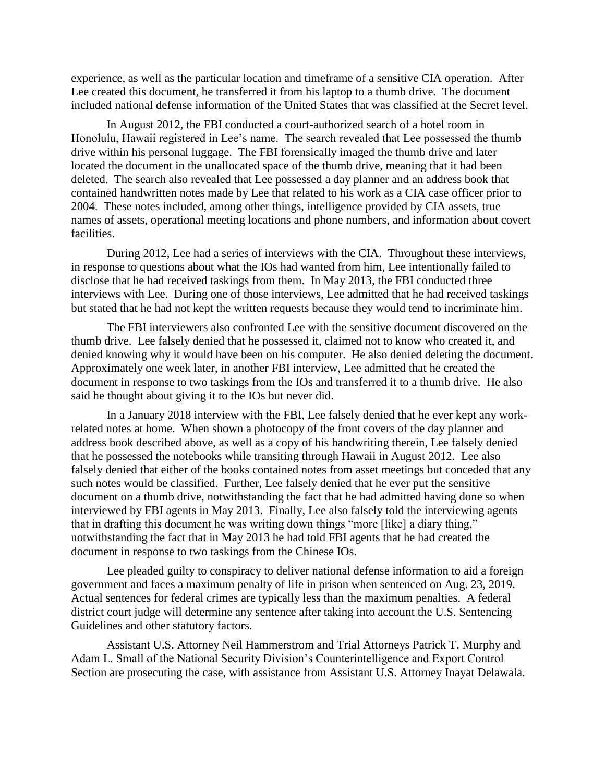experience, as well as the particular location and timeframe of a sensitive CIA operation. After Lee created this document, he transferred it from his laptop to a thumb drive. The document included national defense information of the United States that was classified at the Secret level.

In August 2012, the FBI conducted a court-authorized search of a hotel room in Honolulu, Hawaii registered in Lee's name. The search revealed that Lee possessed the thumb drive within his personal luggage. The FBI forensically imaged the thumb drive and later located the document in the unallocated space of the thumb drive, meaning that it had been deleted. The search also revealed that Lee possessed a day planner and an address book that contained handwritten notes made by Lee that related to his work as a CIA case officer prior to 2004. These notes included, among other things, intelligence provided by CIA assets, true names of assets, operational meeting locations and phone numbers, and information about covert facilities.

During 2012, Lee had a series of interviews with the CIA. Throughout these interviews, in response to questions about what the IOs had wanted from him, Lee intentionally failed to disclose that he had received taskings from them. In May 2013, the FBI conducted three interviews with Lee. During one of those interviews, Lee admitted that he had received taskings but stated that he had not kept the written requests because they would tend to incriminate him.

The FBI interviewers also confronted Lee with the sensitive document discovered on the thumb drive. Lee falsely denied that he possessed it, claimed not to know who created it, and denied knowing why it would have been on his computer. He also denied deleting the document. Approximately one week later, in another FBI interview, Lee admitted that he created the document in response to two taskings from the IOs and transferred it to a thumb drive. He also said he thought about giving it to the IOs but never did.

In a January 2018 interview with the FBI, Lee falsely denied that he ever kept any workrelated notes at home. When shown a photocopy of the front covers of the day planner and address book described above, as well as a copy of his handwriting therein, Lee falsely denied that he possessed the notebooks while transiting through Hawaii in August 2012. Lee also falsely denied that either of the books contained notes from asset meetings but conceded that any such notes would be classified. Further, Lee falsely denied that he ever put the sensitive document on a thumb drive, notwithstanding the fact that he had admitted having done so when interviewed by FBI agents in May 2013. Finally, Lee also falsely told the interviewing agents that in drafting this document he was writing down things "more [like] a diary thing," notwithstanding the fact that in May 2013 he had told FBI agents that he had created the document in response to two taskings from the Chinese IOs.

Lee pleaded guilty to conspiracy to deliver national defense information to aid a foreign government and faces a maximum penalty of life in prison when sentenced on Aug. 23, 2019. Actual sentences for federal crimes are typically less than the maximum penalties. A federal district court judge will determine any sentence after taking into account the U.S. Sentencing Guidelines and other statutory factors.

Assistant U.S. Attorney Neil Hammerstrom and Trial Attorneys Patrick T. Murphy and Adam L. Small of the National Security Division's Counterintelligence and Export Control Section are prosecuting the case, with assistance from Assistant U.S. Attorney Inayat Delawala.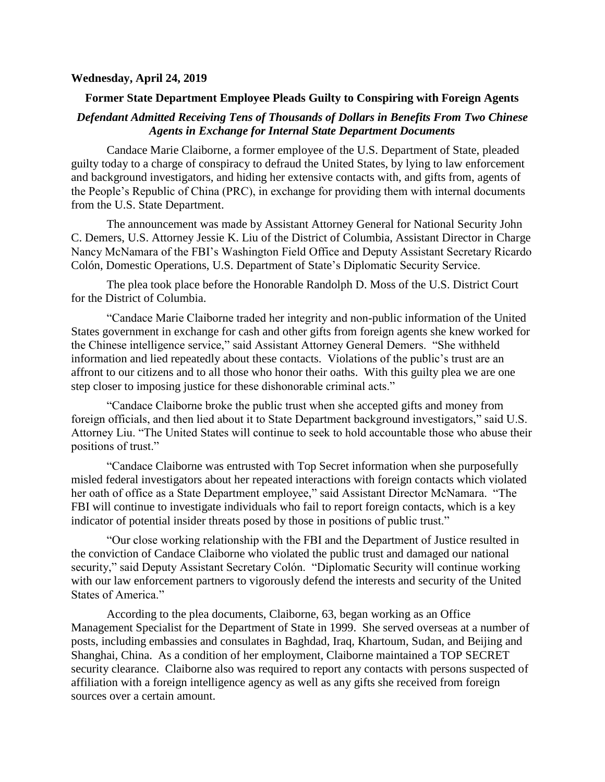### **Wednesday, April 24, 2019**

## **Former State Department Employee Pleads Guilty to Conspiring with Foreign Agents**

## *Defendant Admitted Receiving Tens of Thousands of Dollars in Benefits From Two Chinese Agents in Exchange for Internal State Department Documents*

Candace Marie Claiborne, a former employee of the U.S. Department of State, pleaded guilty today to a charge of conspiracy to defraud the United States, by lying to law enforcement and background investigators, and hiding her extensive contacts with, and gifts from, agents of the People's Republic of China (PRC), in exchange for providing them with internal documents from the U.S. State Department.

The announcement was made by Assistant Attorney General for National Security John C. Demers, U.S. Attorney Jessie K. Liu of the District of Columbia, Assistant Director in Charge Nancy McNamara of the FBI's Washington Field Office and Deputy Assistant Secretary Ricardo Colón, Domestic Operations, U.S. Department of State's Diplomatic Security Service.

The plea took place before the Honorable Randolph D. Moss of the U.S. District Court for the District of Columbia.

"Candace Marie Claiborne traded her integrity and non-public information of the United States government in exchange for cash and other gifts from foreign agents she knew worked for the Chinese intelligence service," said Assistant Attorney General Demers. "She withheld information and lied repeatedly about these contacts. Violations of the public's trust are an affront to our citizens and to all those who honor their oaths. With this guilty plea we are one step closer to imposing justice for these dishonorable criminal acts."

"Candace Claiborne broke the public trust when she accepted gifts and money from foreign officials, and then lied about it to State Department background investigators," said U.S. Attorney Liu. "The United States will continue to seek to hold accountable those who abuse their positions of trust."

"Candace Claiborne was entrusted with Top Secret information when she purposefully misled federal investigators about her repeated interactions with foreign contacts which violated her oath of office as a State Department employee," said Assistant Director McNamara. "The FBI will continue to investigate individuals who fail to report foreign contacts, which is a key indicator of potential insider threats posed by those in positions of public trust."

"Our close working relationship with the FBI and the Department of Justice resulted in the conviction of Candace Claiborne who violated the public trust and damaged our national security," said Deputy Assistant Secretary Colón. "Diplomatic Security will continue working with our law enforcement partners to vigorously defend the interests and security of the United States of America."

According to the plea documents, Claiborne, 63, began working as an Office Management Specialist for the Department of State in 1999. She served overseas at a number of posts, including embassies and consulates in Baghdad, Iraq, Khartoum, Sudan, and Beijing and Shanghai, China. As a condition of her employment, Claiborne maintained a TOP SECRET security clearance. Claiborne also was required to report any contacts with persons suspected of affiliation with a foreign intelligence agency as well as any gifts she received from foreign sources over a certain amount.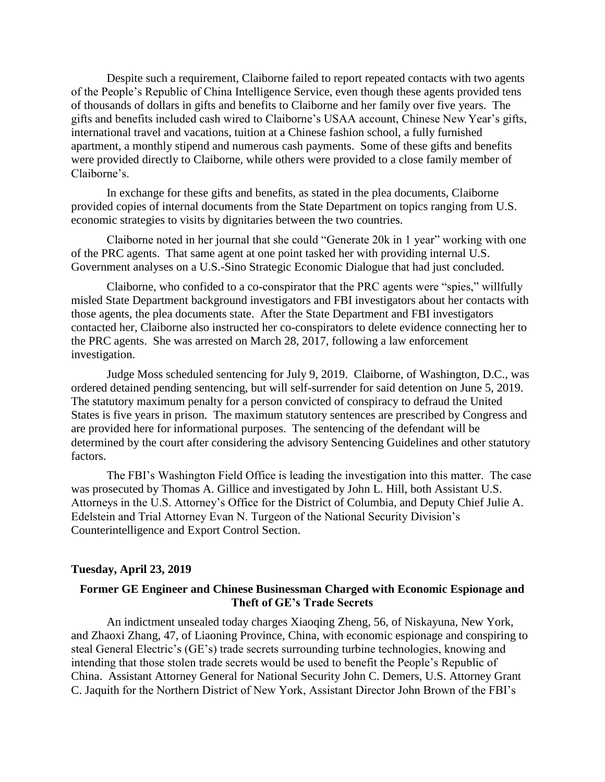Despite such a requirement, Claiborne failed to report repeated contacts with two agents of the People's Republic of China Intelligence Service, even though these agents provided tens of thousands of dollars in gifts and benefits to Claiborne and her family over five years. The gifts and benefits included cash wired to Claiborne's USAA account, Chinese New Year's gifts, international travel and vacations, tuition at a Chinese fashion school, a fully furnished apartment, a monthly stipend and numerous cash payments. Some of these gifts and benefits were provided directly to Claiborne, while others were provided to a close family member of Claiborne's.

In exchange for these gifts and benefits, as stated in the plea documents, Claiborne provided copies of internal documents from the State Department on topics ranging from U.S. economic strategies to visits by dignitaries between the two countries.

Claiborne noted in her journal that she could "Generate 20k in 1 year" working with one of the PRC agents. That same agent at one point tasked her with providing internal U.S. Government analyses on a U.S.-Sino Strategic Economic Dialogue that had just concluded.

Claiborne, who confided to a co-conspirator that the PRC agents were "spies," willfully misled State Department background investigators and FBI investigators about her contacts with those agents, the plea documents state. After the State Department and FBI investigators contacted her, Claiborne also instructed her co-conspirators to delete evidence connecting her to the PRC agents. She was arrested on March 28, 2017, following a law enforcement investigation.

Judge Moss scheduled sentencing for July 9, 2019. Claiborne, of Washington, D.C., was ordered detained pending sentencing, but will self-surrender for said detention on June 5, 2019. The statutory maximum penalty for a person convicted of conspiracy to defraud the United States is five years in prison. The maximum statutory sentences are prescribed by Congress and are provided here for informational purposes. The sentencing of the defendant will be determined by the court after considering the advisory Sentencing Guidelines and other statutory factors.

The FBI's Washington Field Office is leading the investigation into this matter. The case was prosecuted by Thomas A. Gillice and investigated by John L. Hill, both Assistant U.S. Attorneys in the U.S. Attorney's Office for the District of Columbia, and Deputy Chief Julie A. Edelstein and Trial Attorney Evan N. Turgeon of the National Security Division's Counterintelligence and Export Control Section.

#### **Tuesday, April 23, 2019**

## **Former GE Engineer and Chinese Businessman Charged with Economic Espionage and Theft of GE's Trade Secrets**

An indictment unsealed today charges Xiaoqing Zheng, 56, of Niskayuna, New York, and Zhaoxi Zhang, 47, of Liaoning Province, China, with economic espionage and conspiring to steal General Electric's (GE's) trade secrets surrounding turbine technologies, knowing and intending that those stolen trade secrets would be used to benefit the People's Republic of China. Assistant Attorney General for National Security John C. Demers, U.S. Attorney Grant C. Jaquith for the Northern District of New York, Assistant Director John Brown of the FBI's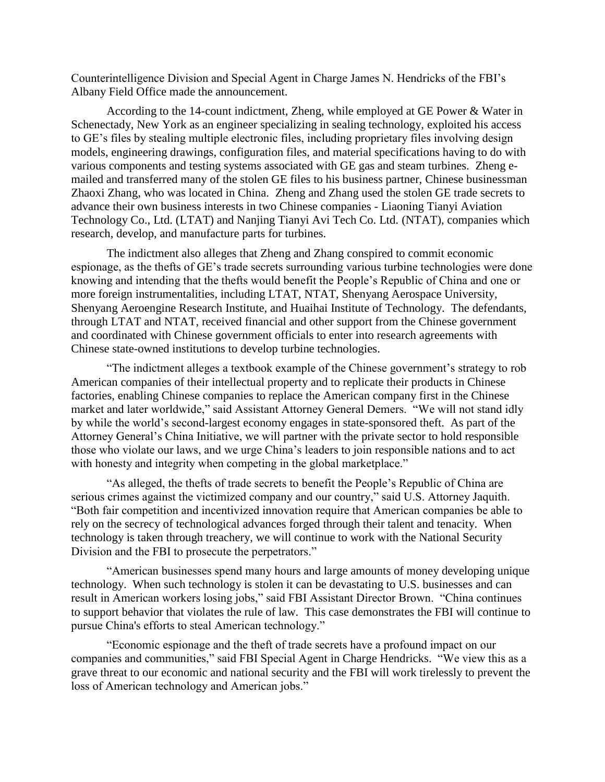Counterintelligence Division and Special Agent in Charge James N. Hendricks of the FBI's Albany Field Office made the announcement.

According to the 14-count indictment, Zheng, while employed at GE Power & Water in Schenectady, New York as an engineer specializing in sealing technology, exploited his access to GE's files by stealing multiple electronic files, including proprietary files involving design models, engineering drawings, configuration files, and material specifications having to do with various components and testing systems associated with GE gas and steam turbines. Zheng emailed and transferred many of the stolen GE files to his business partner, Chinese businessman Zhaoxi Zhang, who was located in China. Zheng and Zhang used the stolen GE trade secrets to advance their own business interests in two Chinese companies - Liaoning Tianyi Aviation Technology Co., Ltd. (LTAT) and Nanjing Tianyi Avi Tech Co. Ltd. (NTAT), companies which research, develop, and manufacture parts for turbines.

The indictment also alleges that Zheng and Zhang conspired to commit economic espionage, as the thefts of GE's trade secrets surrounding various turbine technologies were done knowing and intending that the thefts would benefit the People's Republic of China and one or more foreign instrumentalities, including LTAT, NTAT, Shenyang Aerospace University, Shenyang Aeroengine Research Institute, and Huaihai Institute of Technology. The defendants, through LTAT and NTAT, received financial and other support from the Chinese government and coordinated with Chinese government officials to enter into research agreements with Chinese state-owned institutions to develop turbine technologies.

"The indictment alleges a textbook example of the Chinese government's strategy to rob American companies of their intellectual property and to replicate their products in Chinese factories, enabling Chinese companies to replace the American company first in the Chinese market and later worldwide," said Assistant Attorney General Demers. "We will not stand idly by while the world's second-largest economy engages in state-sponsored theft. As part of the Attorney General's China Initiative, we will partner with the private sector to hold responsible those who violate our laws, and we urge China's leaders to join responsible nations and to act with honesty and integrity when competing in the global marketplace."

"As alleged, the thefts of trade secrets to benefit the People's Republic of China are serious crimes against the victimized company and our country," said U.S. Attorney Jaquith. "Both fair competition and incentivized innovation require that American companies be able to rely on the secrecy of technological advances forged through their talent and tenacity. When technology is taken through treachery, we will continue to work with the National Security Division and the FBI to prosecute the perpetrators."

"American businesses spend many hours and large amounts of money developing unique technology. When such technology is stolen it can be devastating to U.S. businesses and can result in American workers losing jobs," said FBI Assistant Director Brown. "China continues to support behavior that violates the rule of law. This case demonstrates the FBI will continue to pursue China's efforts to steal American technology."

"Economic espionage and the theft of trade secrets have a profound impact on our companies and communities," said FBI Special Agent in Charge Hendricks. "We view this as a grave threat to our economic and national security and the FBI will work tirelessly to prevent the loss of American technology and American jobs."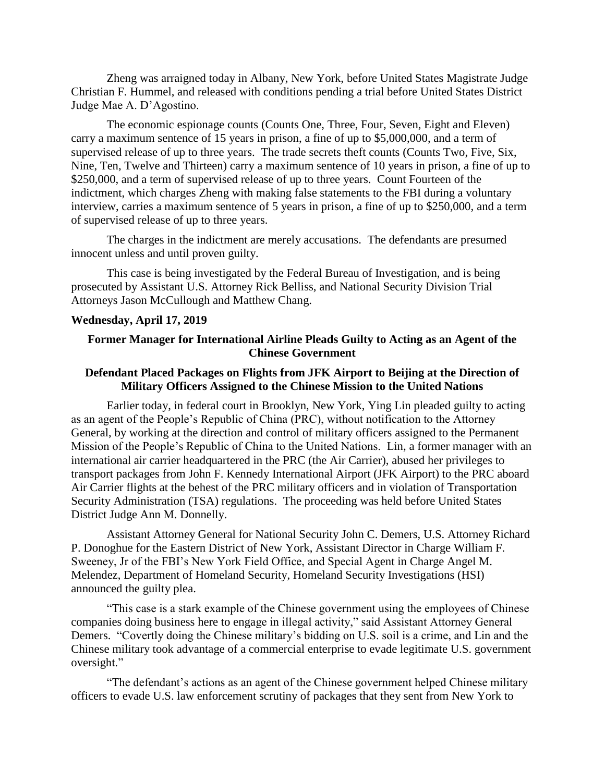Zheng was arraigned today in Albany, New York, before United States Magistrate Judge Christian F. Hummel, and released with conditions pending a trial before United States District Judge Mae A. D'Agostino.

The economic espionage counts (Counts One, Three, Four, Seven, Eight and Eleven) carry a maximum sentence of 15 years in prison, a fine of up to \$5,000,000, and a term of supervised release of up to three years. The trade secrets theft counts (Counts Two, Five, Six, Nine, Ten, Twelve and Thirteen) carry a maximum sentence of 10 years in prison, a fine of up to \$250,000, and a term of supervised release of up to three years. Count Fourteen of the indictment, which charges Zheng with making false statements to the FBI during a voluntary interview, carries a maximum sentence of 5 years in prison, a fine of up to \$250,000, and a term of supervised release of up to three years.

The charges in the indictment are merely accusations. The defendants are presumed innocent unless and until proven guilty.

This case is being investigated by the Federal Bureau of Investigation, and is being prosecuted by Assistant U.S. Attorney Rick Belliss, and National Security Division Trial Attorneys Jason McCullough and Matthew Chang.

#### **Wednesday, April 17, 2019**

## **Former Manager for International Airline Pleads Guilty to Acting as an Agent of the Chinese Government**

## **Defendant Placed Packages on Flights from JFK Airport to Beijing at the Direction of Military Officers Assigned to the Chinese Mission to the United Nations**

 Earlier today, in federal court in Brooklyn, New York, Ying Lin pleaded guilty to acting as an agent of the People's Republic of China (PRC), without notification to the Attorney General, by working at the direction and control of military officers assigned to the Permanent Mission of the People's Republic of China to the United Nations. Lin, a former manager with an international air carrier headquartered in the PRC (the Air Carrier), abused her privileges to transport packages from John F. Kennedy International Airport (JFK Airport) to the PRC aboard Air Carrier flights at the behest of the PRC military officers and in violation of Transportation Security Administration (TSA) regulations. The proceeding was held before United States District Judge Ann M. Donnelly.

Assistant Attorney General for National Security John C. Demers, U.S. Attorney Richard P. Donoghue for the Eastern District of New York, Assistant Director in Charge William F. Sweeney, Jr of the FBI's New York Field Office, and Special Agent in Charge Angel M. Melendez, Department of Homeland Security, Homeland Security Investigations (HSI) announced the guilty plea.

"This case is a stark example of the Chinese government using the employees of Chinese companies doing business here to engage in illegal activity," said Assistant Attorney General Demers. "Covertly doing the Chinese military's bidding on U.S. soil is a crime, and Lin and the Chinese military took advantage of a commercial enterprise to evade legitimate U.S. government oversight."

"The defendant's actions as an agent of the Chinese government helped Chinese military officers to evade U.S. law enforcement scrutiny of packages that they sent from New York to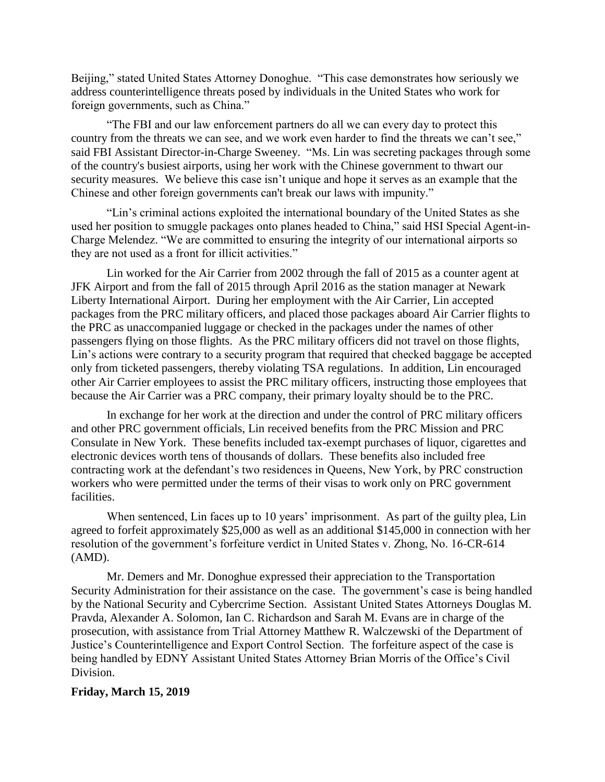Beijing," stated United States Attorney Donoghue. "This case demonstrates how seriously we address counterintelligence threats posed by individuals in the United States who work for foreign governments, such as China."

"The FBI and our law enforcement partners do all we can every day to protect this country from the threats we can see, and we work even harder to find the threats we can't see," said FBI Assistant Director-in-Charge Sweeney. "Ms. Lin was secreting packages through some of the country's busiest airports, using her work with the Chinese government to thwart our security measures. We believe this case isn't unique and hope it serves as an example that the Chinese and other foreign governments can't break our laws with impunity."

"Lin's criminal actions exploited the international boundary of the United States as she used her position to smuggle packages onto planes headed to China," said HSI Special Agent-in-Charge Melendez. "We are committed to ensuring the integrity of our international airports so they are not used as a front for illicit activities."

Lin worked for the Air Carrier from 2002 through the fall of 2015 as a counter agent at JFK Airport and from the fall of 2015 through April 2016 as the station manager at Newark Liberty International Airport. During her employment with the Air Carrier, Lin accepted packages from the PRC military officers, and placed those packages aboard Air Carrier flights to the PRC as unaccompanied luggage or checked in the packages under the names of other passengers flying on those flights. As the PRC military officers did not travel on those flights, Lin's actions were contrary to a security program that required that checked baggage be accepted only from ticketed passengers, thereby violating TSA regulations. In addition, Lin encouraged other Air Carrier employees to assist the PRC military officers, instructing those employees that because the Air Carrier was a PRC company, their primary loyalty should be to the PRC.

In exchange for her work at the direction and under the control of PRC military officers and other PRC government officials, Lin received benefits from the PRC Mission and PRC Consulate in New York. These benefits included tax-exempt purchases of liquor, cigarettes and electronic devices worth tens of thousands of dollars. These benefits also included free contracting work at the defendant's two residences in Queens, New York, by PRC construction workers who were permitted under the terms of their visas to work only on PRC government facilities.

When sentenced, Lin faces up to 10 years' imprisonment. As part of the guilty plea, Lin agreed to forfeit approximately \$25,000 as well as an additional \$145,000 in connection with her resolution of the government's forfeiture verdict in United States v. Zhong, No. 16-CR-614 (AMD).

Mr. Demers and Mr. Donoghue expressed their appreciation to the Transportation Security Administration for their assistance on the case. The government's case is being handled by the National Security and Cybercrime Section. Assistant United States Attorneys Douglas M. Pravda, Alexander A. Solomon, Ian C. Richardson and Sarah M. Evans are in charge of the prosecution, with assistance from Trial Attorney Matthew R. Walczewski of the Department of Justice's Counterintelligence and Export Control Section. The forfeiture aspect of the case is being handled by EDNY Assistant United States Attorney Brian Morris of the Office's Civil Division.

### **Friday, March 15, 2019**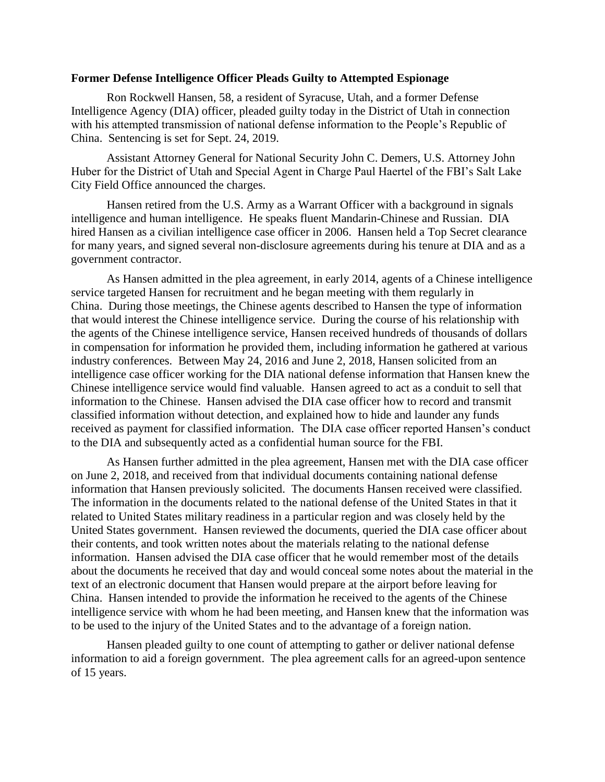### **Former Defense Intelligence Officer Pleads Guilty to Attempted Espionage**

Ron Rockwell Hansen, 58, a resident of Syracuse, Utah, and a former Defense Intelligence Agency (DIA) officer, pleaded guilty today in the District of Utah in connection with his attempted transmission of national defense information to the People's Republic of China. Sentencing is set for Sept. 24, 2019.

Assistant Attorney General for National Security John C. Demers, U.S. Attorney John Huber for the District of Utah and Special Agent in Charge Paul Haertel of the FBI's Salt Lake City Field Office announced the charges.

Hansen retired from the U.S. Army as a Warrant Officer with a background in signals intelligence and human intelligence. He speaks fluent Mandarin-Chinese and Russian. DIA hired Hansen as a civilian intelligence case officer in 2006. Hansen held a Top Secret clearance for many years, and signed several non-disclosure agreements during his tenure at DIA and as a government contractor.

As Hansen admitted in the plea agreement, in early 2014, agents of a Chinese intelligence service targeted Hansen for recruitment and he began meeting with them regularly in China. During those meetings, the Chinese agents described to Hansen the type of information that would interest the Chinese intelligence service. During the course of his relationship with the agents of the Chinese intelligence service, Hansen received hundreds of thousands of dollars in compensation for information he provided them, including information he gathered at various industry conferences. Between May 24, 2016 and June 2, 2018, Hansen solicited from an intelligence case officer working for the DIA national defense information that Hansen knew the Chinese intelligence service would find valuable. Hansen agreed to act as a conduit to sell that information to the Chinese. Hansen advised the DIA case officer how to record and transmit classified information without detection, and explained how to hide and launder any funds received as payment for classified information. The DIA case officer reported Hansen's conduct to the DIA and subsequently acted as a confidential human source for the FBI.

As Hansen further admitted in the plea agreement, Hansen met with the DIA case officer on June 2, 2018, and received from that individual documents containing national defense information that Hansen previously solicited. The documents Hansen received were classified. The information in the documents related to the national defense of the United States in that it related to United States military readiness in a particular region and was closely held by the United States government. Hansen reviewed the documents, queried the DIA case officer about their contents, and took written notes about the materials relating to the national defense information. Hansen advised the DIA case officer that he would remember most of the details about the documents he received that day and would conceal some notes about the material in the text of an electronic document that Hansen would prepare at the airport before leaving for China. Hansen intended to provide the information he received to the agents of the Chinese intelligence service with whom he had been meeting, and Hansen knew that the information was to be used to the injury of the United States and to the advantage of a foreign nation.

Hansen pleaded guilty to one count of attempting to gather or deliver national defense information to aid a foreign government. The plea agreement calls for an agreed-upon sentence of 15 years.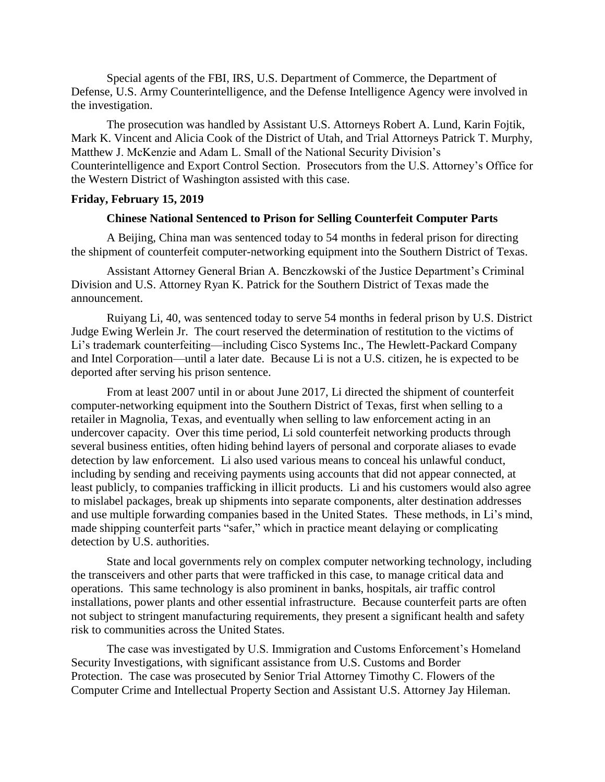Special agents of the FBI, IRS, U.S. Department of Commerce, the Department of Defense, U.S. Army Counterintelligence, and the Defense Intelligence Agency were involved in the investigation.

The prosecution was handled by Assistant U.S. Attorneys Robert A. Lund, Karin Fojtik, Mark K. Vincent and Alicia Cook of the District of Utah, and Trial Attorneys Patrick T. Murphy, Matthew J. McKenzie and Adam L. Small of the National Security Division's Counterintelligence and Export Control Section. Prosecutors from the U.S. Attorney's Office for the Western District of Washington assisted with this case.

## **Friday, February 15, 2019**

### **Chinese National Sentenced to Prison for Selling Counterfeit Computer Parts**

A Beijing, China man was sentenced today to 54 months in federal prison for directing the shipment of counterfeit computer-networking equipment into the Southern District of Texas.

Assistant Attorney General Brian A. Benczkowski of the Justice Department's Criminal Division and U.S. Attorney Ryan K. Patrick for the Southern District of Texas made the announcement.

Ruiyang Li, 40, was sentenced today to serve 54 months in federal prison by U.S. District Judge Ewing Werlein Jr. The court reserved the determination of restitution to the victims of Li's trademark counterfeiting—including Cisco Systems Inc., The Hewlett-Packard Company and Intel Corporation—until a later date. Because Li is not a U.S. citizen, he is expected to be deported after serving his prison sentence.

From at least 2007 until in or about June 2017, Li directed the shipment of counterfeit computer-networking equipment into the Southern District of Texas, first when selling to a retailer in Magnolia, Texas, and eventually when selling to law enforcement acting in an undercover capacity. Over this time period, Li sold counterfeit networking products through several business entities, often hiding behind layers of personal and corporate aliases to evade detection by law enforcement. Li also used various means to conceal his unlawful conduct, including by sending and receiving payments using accounts that did not appear connected, at least publicly, to companies trafficking in illicit products. Li and his customers would also agree to mislabel packages, break up shipments into separate components, alter destination addresses and use multiple forwarding companies based in the United States. These methods, in Li's mind, made shipping counterfeit parts "safer," which in practice meant delaying or complicating detection by U.S. authorities.

State and local governments rely on complex computer networking technology, including the transceivers and other parts that were trafficked in this case, to manage critical data and operations. This same technology is also prominent in banks, hospitals, air traffic control installations, power plants and other essential infrastructure. Because counterfeit parts are often not subject to stringent manufacturing requirements, they present a significant health and safety risk to communities across the United States.

The case was investigated by U.S. Immigration and Customs Enforcement's Homeland Security Investigations, with significant assistance from U.S. Customs and Border Protection. The case was prosecuted by Senior Trial Attorney Timothy C. Flowers of the Computer Crime and Intellectual Property Section and Assistant U.S. Attorney Jay Hileman.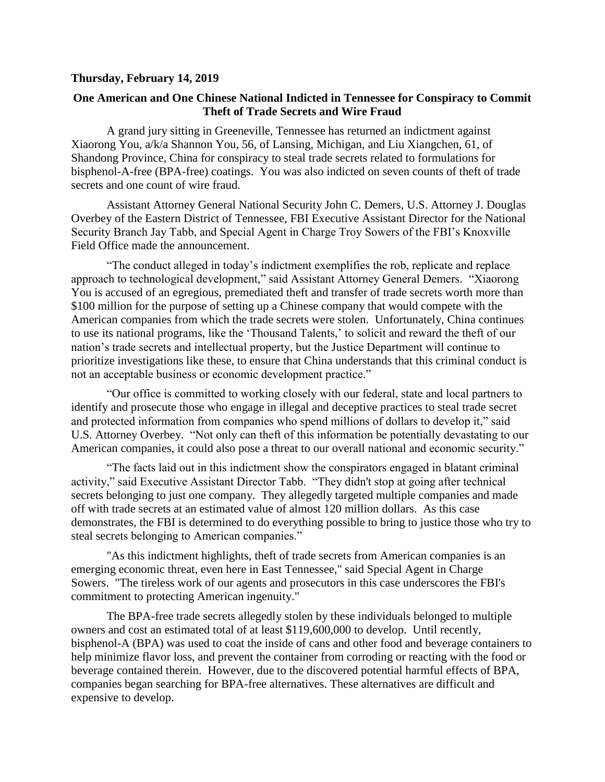## **Thursday, February 14, 2019**

# **One American and One Chinese National Indicted in Tennessee for Conspiracy to Commit Theft of Trade Secrets and Wire Fraud**

A grand jury sitting in Greeneville, Tennessee has returned an indictment against Xiaorong You, a/k/a Shannon You, 56, of Lansing, Michigan, and Liu Xiangchen, 61, of Shandong Province, China for conspiracy to steal trade secrets related to formulations for bisphenol-A-free (BPA-free) coatings. You was also indicted on seven counts of theft of trade secrets and one count of wire fraud.

Assistant Attorney General National Security John C. Demers, U.S. Attorney J. Douglas Overbey of the Eastern District of Tennessee, FBI Executive Assistant Director for the National Security Branch Jay Tabb, and Special Agent in Charge Troy Sowers of the FBI's Knoxville Field Office made the announcement.

"The conduct alleged in today's indictment exemplifies the rob, replicate and replace approach to technological development," said Assistant Attorney General Demers. "Xiaorong You is accused of an egregious, premediated theft and transfer of trade secrets worth more than \$100 million for the purpose of setting up a Chinese company that would compete with the American companies from which the trade secrets were stolen. Unfortunately, China continues to use its national programs, like the 'Thousand Talents,' to solicit and reward the theft of our nation's trade secrets and intellectual property, but the Justice Department will continue to prioritize investigations like these, to ensure that China understands that this criminal conduct is not an acceptable business or economic development practice."

"Our office is committed to working closely with our federal, state and local partners to identify and prosecute those who engage in illegal and deceptive practices to steal trade secret and protected information from companies who spend millions of dollars to develop it," said U.S. Attorney Overbey. "Not only can theft of this information be potentially devastating to our American companies, it could also pose a threat to our overall national and economic security."

"The facts laid out in this indictment show the conspirators engaged in blatant criminal activity," said Executive Assistant Director Tabb. "They didn't stop at going after technical secrets belonging to just one company. They allegedly targeted multiple companies and made off with trade secrets at an estimated value of almost 120 million dollars. As this case demonstrates, the FBI is determined to do everything possible to bring to justice those who try to steal secrets belonging to American companies."

"As this indictment highlights, theft of trade secrets from American companies is an emerging economic threat, even here in East Tennessee," said Special Agent in Charge Sowers. "The tireless work of our agents and prosecutors in this case underscores the FBI's commitment to protecting American ingenuity."

The BPA-free trade secrets allegedly stolen by these individuals belonged to multiple owners and cost an estimated total of at least \$119,600,000 to develop. Until recently, bisphenol-A (BPA) was used to coat the inside of cans and other food and beverage containers to help minimize flavor loss, and prevent the container from corroding or reacting with the food or beverage contained therein. However, due to the discovered potential harmful effects of BPA, companies began searching for BPA-free alternatives. These alternatives are difficult and expensive to develop.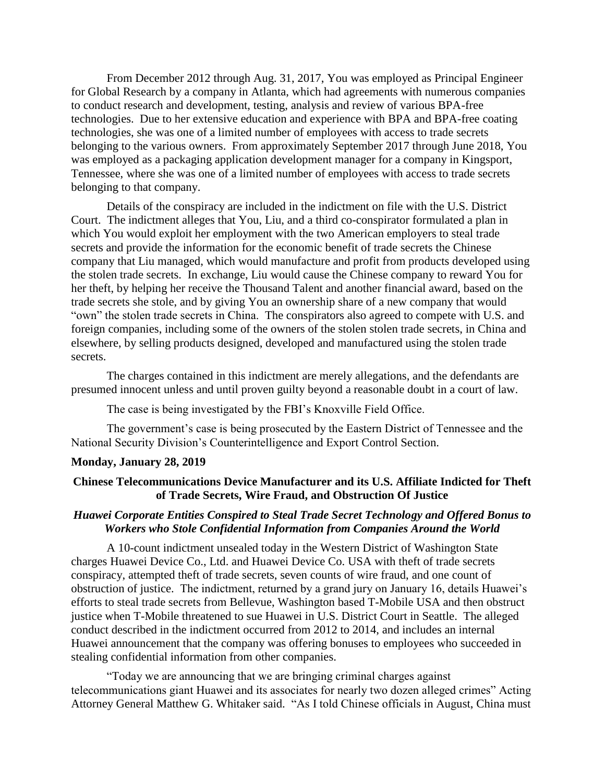From December 2012 through Aug. 31, 2017, You was employed as Principal Engineer for Global Research by a company in Atlanta, which had agreements with numerous companies to conduct research and development, testing, analysis and review of various BPA-free technologies. Due to her extensive education and experience with BPA and BPA-free coating technologies, she was one of a limited number of employees with access to trade secrets belonging to the various owners. From approximately September 2017 through June 2018, You was employed as a packaging application development manager for a company in Kingsport, Tennessee, where she was one of a limited number of employees with access to trade secrets belonging to that company.

Details of the conspiracy are included in the indictment on file with the U.S. District Court. The indictment alleges that You, Liu, and a third co-conspirator formulated a plan in which You would exploit her employment with the two American employers to steal trade secrets and provide the information for the economic benefit of trade secrets the Chinese company that Liu managed, which would manufacture and profit from products developed using the stolen trade secrets. In exchange, Liu would cause the Chinese company to reward You for her theft, by helping her receive the Thousand Talent and another financial award, based on the trade secrets she stole, and by giving You an ownership share of a new company that would "own" the stolen trade secrets in China. The conspirators also agreed to compete with U.S. and foreign companies, including some of the owners of the stolen stolen trade secrets, in China and elsewhere, by selling products designed, developed and manufactured using the stolen trade secrets.

The charges contained in this indictment are merely allegations, and the defendants are presumed innocent unless and until proven guilty beyond a reasonable doubt in a court of law.

The case is being investigated by the FBI's Knoxville Field Office.

The government's case is being prosecuted by the Eastern District of Tennessee and the National Security Division's Counterintelligence and Export Control Section.

## **Monday, January 28, 2019**

### **Chinese Telecommunications Device Manufacturer and its U.S. Affiliate Indicted for Theft of Trade Secrets, Wire Fraud, and Obstruction Of Justice**

## *Huawei Corporate Entities Conspired to Steal Trade Secret Technology and Offered Bonus to Workers who Stole Confidential Information from Companies Around the World*

A 10-count indictment unsealed today in the Western District of Washington State charges Huawei Device Co., Ltd. and Huawei Device Co. USA with theft of trade secrets conspiracy, attempted theft of trade secrets, seven counts of wire fraud, and one count of obstruction of justice. The indictment, returned by a grand jury on January 16, details Huawei's efforts to steal trade secrets from Bellevue, Washington based T-Mobile USA and then obstruct justice when T-Mobile threatened to sue Huawei in U.S. District Court in Seattle. The alleged conduct described in the indictment occurred from 2012 to 2014, and includes an internal Huawei announcement that the company was offering bonuses to employees who succeeded in stealing confidential information from other companies.

"Today we are announcing that we are bringing criminal charges against telecommunications giant Huawei and its associates for nearly two dozen alleged crimes" Acting Attorney General Matthew G. Whitaker said. "As I told Chinese officials in August, China must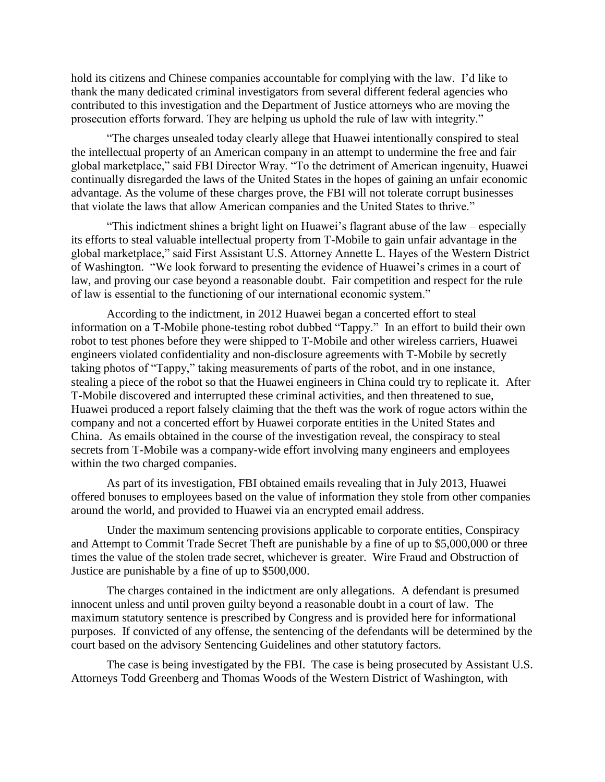hold its citizens and Chinese companies accountable for complying with the law. I'd like to thank the many dedicated criminal investigators from several different federal agencies who contributed to this investigation and the Department of Justice attorneys who are moving the prosecution efforts forward. They are helping us uphold the rule of law with integrity."

"The charges unsealed today clearly allege that Huawei intentionally conspired to steal the intellectual property of an American company in an attempt to undermine the free and fair global marketplace," said FBI Director Wray. "To the detriment of American ingenuity, Huawei continually disregarded the laws of the United States in the hopes of gaining an unfair economic advantage. As the volume of these charges prove, the FBI will not tolerate corrupt businesses that violate the laws that allow American companies and the United States to thrive."

"This indictment shines a bright light on Huawei's flagrant abuse of the law – especially its efforts to steal valuable intellectual property from T-Mobile to gain unfair advantage in the global marketplace," said First Assistant U.S. Attorney Annette L. Hayes of the Western District of Washington. "We look forward to presenting the evidence of Huawei's crimes in a court of law, and proving our case beyond a reasonable doubt. Fair competition and respect for the rule of law is essential to the functioning of our international economic system."

According to the indictment, in 2012 Huawei began a concerted effort to steal information on a T-Mobile phone-testing robot dubbed "Tappy." In an effort to build their own robot to test phones before they were shipped to T-Mobile and other wireless carriers, Huawei engineers violated confidentiality and non-disclosure agreements with T-Mobile by secretly taking photos of "Tappy," taking measurements of parts of the robot, and in one instance, stealing a piece of the robot so that the Huawei engineers in China could try to replicate it. After T-Mobile discovered and interrupted these criminal activities, and then threatened to sue, Huawei produced a report falsely claiming that the theft was the work of rogue actors within the company and not a concerted effort by Huawei corporate entities in the United States and China. As emails obtained in the course of the investigation reveal, the conspiracy to steal secrets from T-Mobile was a company-wide effort involving many engineers and employees within the two charged companies.

As part of its investigation, FBI obtained emails revealing that in July 2013, Huawei offered bonuses to employees based on the value of information they stole from other companies around the world, and provided to Huawei via an encrypted email address.

Under the maximum sentencing provisions applicable to corporate entities, Conspiracy and Attempt to Commit Trade Secret Theft are punishable by a fine of up to \$5,000,000 or three times the value of the stolen trade secret, whichever is greater. Wire Fraud and Obstruction of Justice are punishable by a fine of up to \$500,000.

The charges contained in the indictment are only allegations. A defendant is presumed innocent unless and until proven guilty beyond a reasonable doubt in a court of law. The maximum statutory sentence is prescribed by Congress and is provided here for informational purposes. If convicted of any offense, the sentencing of the defendants will be determined by the court based on the advisory Sentencing Guidelines and other statutory factors.

The case is being investigated by the FBI. The case is being prosecuted by Assistant U.S. Attorneys Todd Greenberg and Thomas Woods of the Western District of Washington, with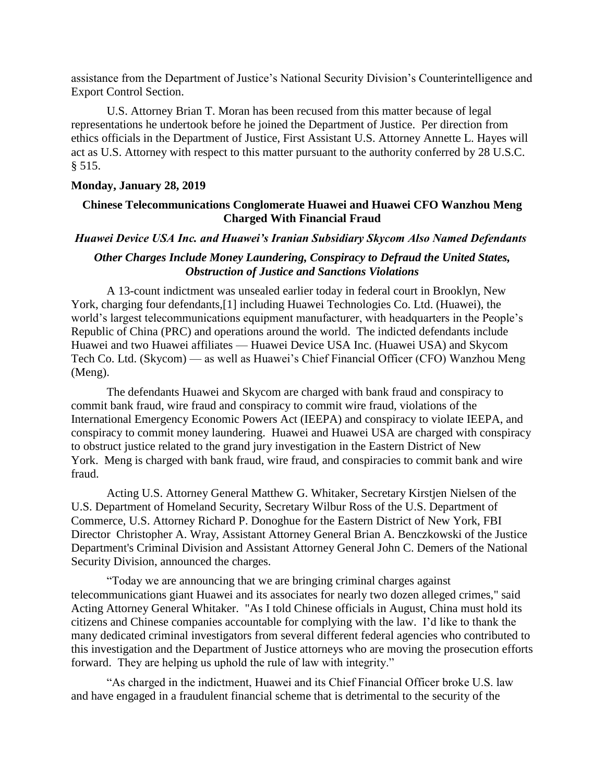assistance from the Department of Justice's National Security Division's Counterintelligence and Export Control Section.

U.S. Attorney Brian T. Moran has been recused from this matter because of legal representations he undertook before he joined the Department of Justice. Per direction from ethics officials in the Department of Justice, First Assistant U.S. Attorney Annette L. Hayes will act as U.S. Attorney with respect to this matter pursuant to the authority conferred by 28 U.S.C. § 515.

### **Monday, January 28, 2019**

## **Chinese Telecommunications Conglomerate Huawei and Huawei CFO Wanzhou Meng Charged With Financial Fraud**

### *Huawei Device USA Inc. and Huawei's Iranian Subsidiary Skycom Also Named Defendants*

# *Other Charges Include Money Laundering, Conspiracy to Defraud the United States, Obstruction of Justice and Sanctions Violations*

A 13-count indictment was unsealed earlier today in federal court in Brooklyn, New York, charging four defendants,[1] including Huawei Technologies Co. Ltd. (Huawei), the world's largest telecommunications equipment manufacturer, with headquarters in the People's Republic of China (PRC) and operations around the world. The indicted defendants include Huawei and two Huawei affiliates — Huawei Device USA Inc. (Huawei USA) and Skycom Tech Co. Ltd. (Skycom) — as well as Huawei's Chief Financial Officer (CFO) Wanzhou Meng (Meng).

The defendants Huawei and Skycom are charged with bank fraud and conspiracy to commit bank fraud, wire fraud and conspiracy to commit wire fraud, violations of the International Emergency Economic Powers Act (IEEPA) and conspiracy to violate IEEPA, and conspiracy to commit money laundering. Huawei and Huawei USA are charged with conspiracy to obstruct justice related to the grand jury investigation in the Eastern District of New York. Meng is charged with bank fraud, wire fraud, and conspiracies to commit bank and wire fraud.

Acting U.S. Attorney General Matthew G. Whitaker, Secretary Kirstjen Nielsen of the U.S. Department of Homeland Security, Secretary Wilbur Ross of the U.S. Department of Commerce, U.S. Attorney Richard P. Donoghue for the Eastern District of New York, FBI Director Christopher A. Wray, Assistant Attorney General Brian A. Benczkowski of the Justice Department's Criminal Division and Assistant Attorney General John C. Demers of the National Security Division, announced the charges.

"Today we are announcing that we are bringing criminal charges against telecommunications giant Huawei and its associates for nearly two dozen alleged crimes," said Acting Attorney General Whitaker. "As I told Chinese officials in August, China must hold its citizens and Chinese companies accountable for complying with the law. I'd like to thank the many dedicated criminal investigators from several different federal agencies who contributed to this investigation and the Department of Justice attorneys who are moving the prosecution efforts forward. They are helping us uphold the rule of law with integrity."

"As charged in the indictment, Huawei and its Chief Financial Officer broke U.S. law and have engaged in a fraudulent financial scheme that is detrimental to the security of the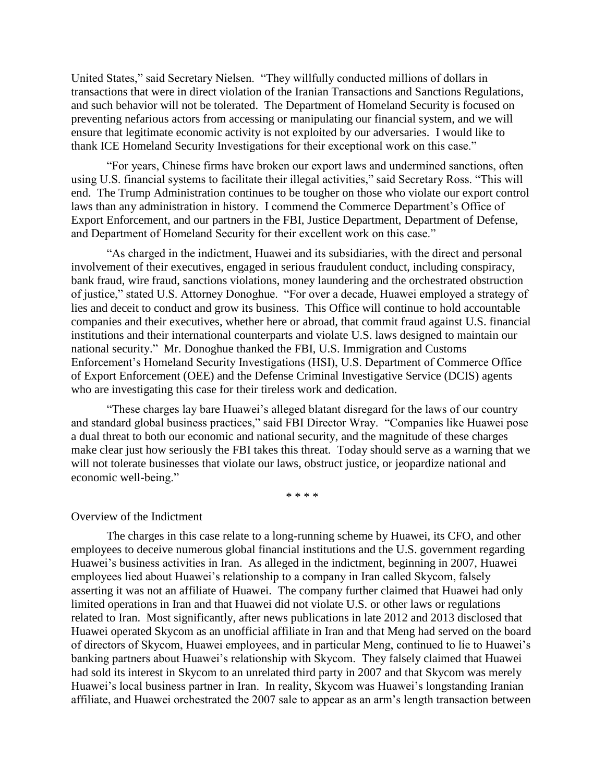United States," said Secretary Nielsen. "They willfully conducted millions of dollars in transactions that were in direct violation of the Iranian Transactions and Sanctions Regulations, and such behavior will not be tolerated. The Department of Homeland Security is focused on preventing nefarious actors from accessing or manipulating our financial system, and we will ensure that legitimate economic activity is not exploited by our adversaries. I would like to thank ICE Homeland Security Investigations for their exceptional work on this case."

"For years, Chinese firms have broken our export laws and undermined sanctions, often using U.S. financial systems to facilitate their illegal activities," said Secretary Ross. "This will end. The Trump Administration continues to be tougher on those who violate our export control laws than any administration in history. I commend the Commerce Department's Office of Export Enforcement, and our partners in the FBI, Justice Department, Department of Defense, and Department of Homeland Security for their excellent work on this case."

"As charged in the indictment, Huawei and its subsidiaries, with the direct and personal involvement of their executives, engaged in serious fraudulent conduct, including conspiracy, bank fraud, wire fraud, sanctions violations, money laundering and the orchestrated obstruction of justice," stated U.S. Attorney Donoghue. "For over a decade, Huawei employed a strategy of lies and deceit to conduct and grow its business. This Office will continue to hold accountable companies and their executives, whether here or abroad, that commit fraud against U.S. financial institutions and their international counterparts and violate U.S. laws designed to maintain our national security." Mr. Donoghue thanked the FBI, U.S. Immigration and Customs Enforcement's Homeland Security Investigations (HSI), U.S. Department of Commerce Office of Export Enforcement (OEE) and the Defense Criminal Investigative Service (DCIS) agents who are investigating this case for their tireless work and dedication.

"These charges lay bare Huawei's alleged blatant disregard for the laws of our country and standard global business practices," said FBI Director Wray. "Companies like Huawei pose a dual threat to both our economic and national security, and the magnitude of these charges make clear just how seriously the FBI takes this threat. Today should serve as a warning that we will not tolerate businesses that violate our laws, obstruct justice, or jeopardize national and economic well-being."

\* \* \* \*

### Overview of the Indictment

The charges in this case relate to a long-running scheme by Huawei, its CFO, and other employees to deceive numerous global financial institutions and the U.S. government regarding Huawei's business activities in Iran. As alleged in the indictment, beginning in 2007, Huawei employees lied about Huawei's relationship to a company in Iran called Skycom, falsely asserting it was not an affiliate of Huawei. The company further claimed that Huawei had only limited operations in Iran and that Huawei did not violate U.S. or other laws or regulations related to Iran. Most significantly, after news publications in late 2012 and 2013 disclosed that Huawei operated Skycom as an unofficial affiliate in Iran and that Meng had served on the board of directors of Skycom, Huawei employees, and in particular Meng, continued to lie to Huawei's banking partners about Huawei's relationship with Skycom. They falsely claimed that Huawei had sold its interest in Skycom to an unrelated third party in 2007 and that Skycom was merely Huawei's local business partner in Iran. In reality, Skycom was Huawei's longstanding Iranian affiliate, and Huawei orchestrated the 2007 sale to appear as an arm's length transaction between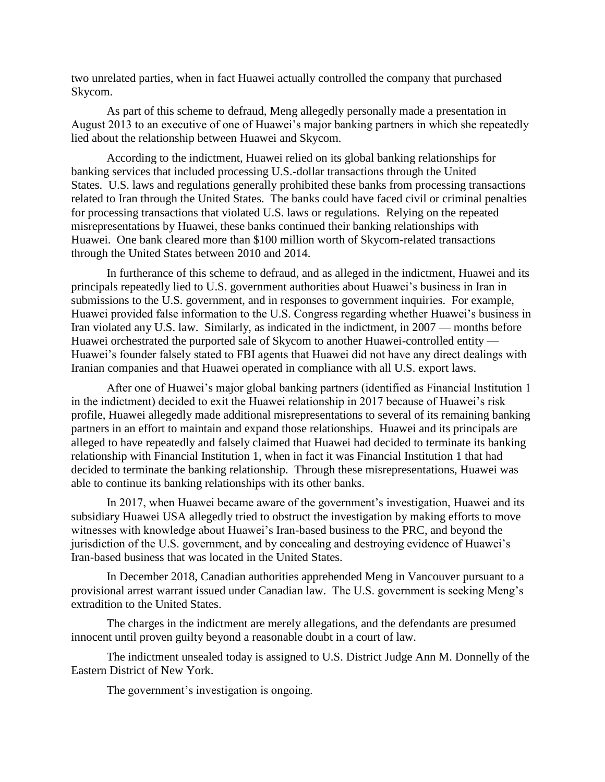two unrelated parties, when in fact Huawei actually controlled the company that purchased Skycom.

As part of this scheme to defraud, Meng allegedly personally made a presentation in August 2013 to an executive of one of Huawei's major banking partners in which she repeatedly lied about the relationship between Huawei and Skycom.

According to the indictment, Huawei relied on its global banking relationships for banking services that included processing U.S.-dollar transactions through the United States. U.S. laws and regulations generally prohibited these banks from processing transactions related to Iran through the United States. The banks could have faced civil or criminal penalties for processing transactions that violated U.S. laws or regulations. Relying on the repeated misrepresentations by Huawei, these banks continued their banking relationships with Huawei. One bank cleared more than \$100 million worth of Skycom-related transactions through the United States between 2010 and 2014.

In furtherance of this scheme to defraud, and as alleged in the indictment, Huawei and its principals repeatedly lied to U.S. government authorities about Huawei's business in Iran in submissions to the U.S. government, and in responses to government inquiries. For example, Huawei provided false information to the U.S. Congress regarding whether Huawei's business in Iran violated any U.S. law. Similarly, as indicated in the indictment, in 2007 — months before Huawei orchestrated the purported sale of Skycom to another Huawei-controlled entity — Huawei's founder falsely stated to FBI agents that Huawei did not have any direct dealings with Iranian companies and that Huawei operated in compliance with all U.S. export laws.

After one of Huawei's major global banking partners (identified as Financial Institution 1 in the indictment) decided to exit the Huawei relationship in 2017 because of Huawei's risk profile, Huawei allegedly made additional misrepresentations to several of its remaining banking partners in an effort to maintain and expand those relationships. Huawei and its principals are alleged to have repeatedly and falsely claimed that Huawei had decided to terminate its banking relationship with Financial Institution 1, when in fact it was Financial Institution 1 that had decided to terminate the banking relationship. Through these misrepresentations, Huawei was able to continue its banking relationships with its other banks.

In 2017, when Huawei became aware of the government's investigation, Huawei and its subsidiary Huawei USA allegedly tried to obstruct the investigation by making efforts to move witnesses with knowledge about Huawei's Iran-based business to the PRC, and beyond the jurisdiction of the U.S. government, and by concealing and destroying evidence of Huawei's Iran-based business that was located in the United States.

In December 2018, Canadian authorities apprehended Meng in Vancouver pursuant to a provisional arrest warrant issued under Canadian law. The U.S. government is seeking Meng's extradition to the United States.

The charges in the indictment are merely allegations, and the defendants are presumed innocent until proven guilty beyond a reasonable doubt in a court of law.

The indictment unsealed today is assigned to U.S. District Judge Ann M. Donnelly of the Eastern District of New York.

The government's investigation is ongoing.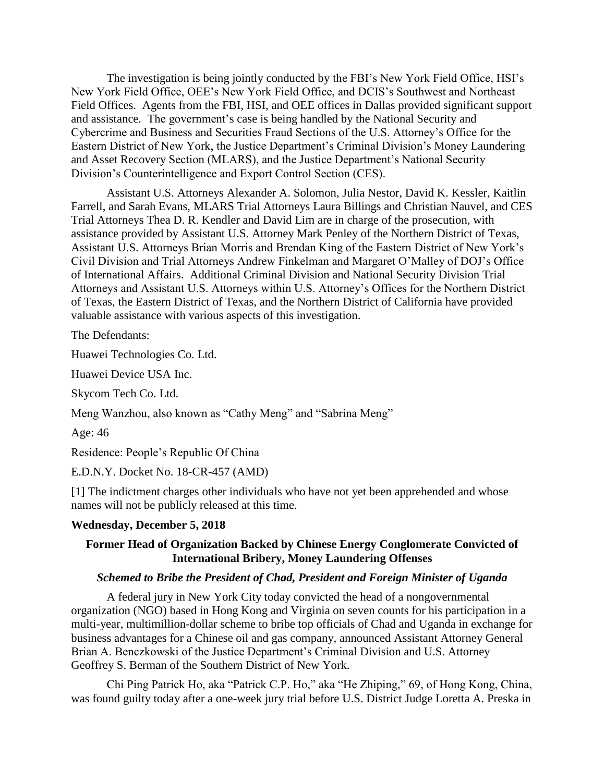The investigation is being jointly conducted by the FBI's New York Field Office, HSI's New York Field Office, OEE's New York Field Office, and DCIS's Southwest and Northeast Field Offices. Agents from the FBI, HSI, and OEE offices in Dallas provided significant support and assistance. The government's case is being handled by the National Security and Cybercrime and Business and Securities Fraud Sections of the U.S. Attorney's Office for the Eastern District of New York, the Justice Department's Criminal Division's Money Laundering and Asset Recovery Section (MLARS), and the Justice Department's National Security Division's Counterintelligence and Export Control Section (CES).

Assistant U.S. Attorneys Alexander A. Solomon, Julia Nestor, David K. Kessler, Kaitlin Farrell, and Sarah Evans, MLARS Trial Attorneys Laura Billings and Christian Nauvel, and CES Trial Attorneys Thea D. R. Kendler and David Lim are in charge of the prosecution, with assistance provided by Assistant U.S. Attorney Mark Penley of the Northern District of Texas, Assistant U.S. Attorneys Brian Morris and Brendan King of the Eastern District of New York's Civil Division and Trial Attorneys Andrew Finkelman and Margaret O'Malley of DOJ's Office of International Affairs. Additional Criminal Division and National Security Division Trial Attorneys and Assistant U.S. Attorneys within U.S. Attorney's Offices for the Northern District of Texas, the Eastern District of Texas, and the Northern District of California have provided valuable assistance with various aspects of this investigation.

The Defendants:

Huawei Technologies Co. Ltd.

Huawei Device USA Inc.

Skycom Tech Co. Ltd.

Meng Wanzhou, also known as "Cathy Meng" and "Sabrina Meng"

Age: 46

Residence: People's Republic Of China

E.D.N.Y. Docket No. 18-CR-457 (AMD)

[1] The indictment charges other individuals who have not yet been apprehended and whose names will not be publicly released at this time.

#### **Wednesday, December 5, 2018**

## **Former Head of Organization Backed by Chinese Energy Conglomerate Convicted of International Bribery, Money Laundering Offenses**

## *Schemed to Bribe the President of Chad, President and Foreign Minister of Uganda*

A federal jury in New York City today convicted the head of a nongovernmental organization (NGO) based in Hong Kong and Virginia on seven counts for his participation in a multi-year, multimillion-dollar scheme to bribe top officials of Chad and Uganda in exchange for business advantages for a Chinese oil and gas company, announced Assistant Attorney General Brian A. Benczkowski of the Justice Department's Criminal Division and U.S. Attorney Geoffrey S. Berman of the Southern District of New York.

Chi Ping Patrick Ho, aka "Patrick C.P. Ho," aka "He Zhiping," 69, of Hong Kong, China, was found guilty today after a one-week jury trial before U.S. District Judge Loretta A. Preska in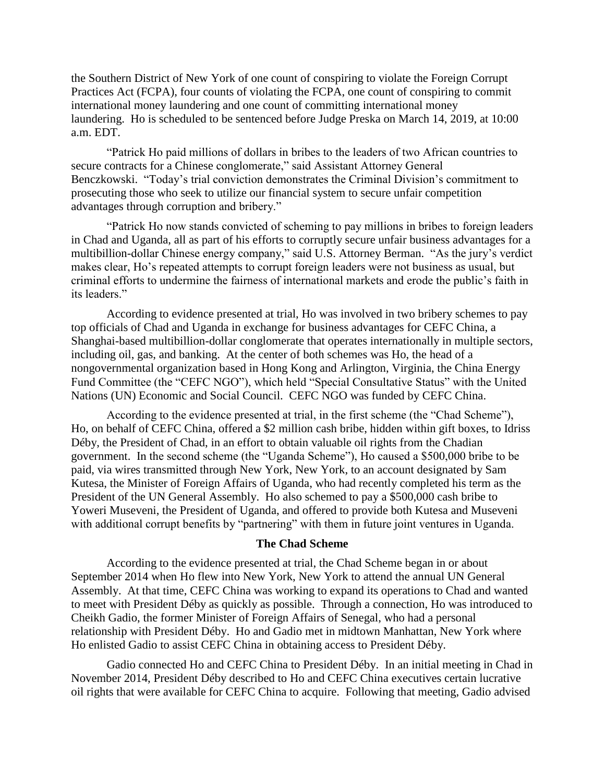the Southern District of New York of one count of conspiring to violate the Foreign Corrupt Practices Act (FCPA), four counts of violating the FCPA, one count of conspiring to commit international money laundering and one count of committing international money laundering. Ho is scheduled to be sentenced before Judge Preska on March 14, 2019, at 10:00 a.m. EDT.

"Patrick Ho paid millions of dollars in bribes to the leaders of two African countries to secure contracts for a Chinese conglomerate," said Assistant Attorney General Benczkowski. "Today's trial conviction demonstrates the Criminal Division's commitment to prosecuting those who seek to utilize our financial system to secure unfair competition advantages through corruption and bribery."

"Patrick Ho now stands convicted of scheming to pay millions in bribes to foreign leaders in Chad and Uganda, all as part of his efforts to corruptly secure unfair business advantages for a multibillion-dollar Chinese energy company," said U.S. Attorney Berman. "As the jury's verdict makes clear, Ho's repeated attempts to corrupt foreign leaders were not business as usual, but criminal efforts to undermine the fairness of international markets and erode the public's faith in its leaders."

According to evidence presented at trial, Ho was involved in two bribery schemes to pay top officials of Chad and Uganda in exchange for business advantages for CEFC China, a Shanghai-based multibillion-dollar conglomerate that operates internationally in multiple sectors, including oil, gas, and banking. At the center of both schemes was Ho, the head of a nongovernmental organization based in Hong Kong and Arlington, Virginia, the China Energy Fund Committee (the "CEFC NGO"), which held "Special Consultative Status" with the United Nations (UN) Economic and Social Council. CEFC NGO was funded by CEFC China.

According to the evidence presented at trial, in the first scheme (the "Chad Scheme"), Ho, on behalf of CEFC China, offered a \$2 million cash bribe, hidden within gift boxes, to Idriss Déby, the President of Chad, in an effort to obtain valuable oil rights from the Chadian government. In the second scheme (the "Uganda Scheme"), Ho caused a \$500,000 bribe to be paid, via wires transmitted through New York, New York, to an account designated by Sam Kutesa, the Minister of Foreign Affairs of Uganda, who had recently completed his term as the President of the UN General Assembly. Ho also schemed to pay a \$500,000 cash bribe to Yoweri Museveni, the President of Uganda, and offered to provide both Kutesa and Museveni with additional corrupt benefits by "partnering" with them in future joint ventures in Uganda.

### **The Chad Scheme**

According to the evidence presented at trial, the Chad Scheme began in or about September 2014 when Ho flew into New York, New York to attend the annual UN General Assembly. At that time, CEFC China was working to expand its operations to Chad and wanted to meet with President Déby as quickly as possible. Through a connection, Ho was introduced to Cheikh Gadio, the former Minister of Foreign Affairs of Senegal, who had a personal relationship with President Déby. Ho and Gadio met in midtown Manhattan, New York where Ho enlisted Gadio to assist CEFC China in obtaining access to President Déby.

Gadio connected Ho and CEFC China to President Déby. In an initial meeting in Chad in November 2014, President Déby described to Ho and CEFC China executives certain lucrative oil rights that were available for CEFC China to acquire. Following that meeting, Gadio advised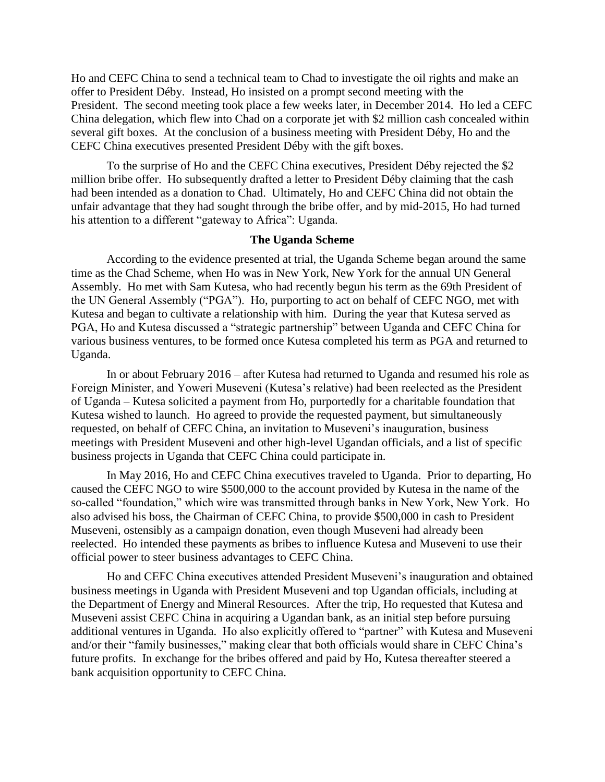Ho and CEFC China to send a technical team to Chad to investigate the oil rights and make an offer to President Déby. Instead, Ho insisted on a prompt second meeting with the President. The second meeting took place a few weeks later, in December 2014. Ho led a CEFC China delegation, which flew into Chad on a corporate jet with \$2 million cash concealed within several gift boxes. At the conclusion of a business meeting with President Déby, Ho and the CEFC China executives presented President Déby with the gift boxes.

To the surprise of Ho and the CEFC China executives, President Déby rejected the \$2 million bribe offer. Ho subsequently drafted a letter to President Déby claiming that the cash had been intended as a donation to Chad. Ultimately, Ho and CEFC China did not obtain the unfair advantage that they had sought through the bribe offer, and by mid-2015, Ho had turned his attention to a different "gateway to Africa": Uganda.

#### **The Uganda Scheme**

According to the evidence presented at trial, the Uganda Scheme began around the same time as the Chad Scheme, when Ho was in New York, New York for the annual UN General Assembly. Ho met with Sam Kutesa, who had recently begun his term as the 69th President of the UN General Assembly ("PGA"). Ho, purporting to act on behalf of CEFC NGO, met with Kutesa and began to cultivate a relationship with him. During the year that Kutesa served as PGA, Ho and Kutesa discussed a "strategic partnership" between Uganda and CEFC China for various business ventures, to be formed once Kutesa completed his term as PGA and returned to Uganda.

In or about February 2016 – after Kutesa had returned to Uganda and resumed his role as Foreign Minister, and Yoweri Museveni (Kutesa's relative) had been reelected as the President of Uganda – Kutesa solicited a payment from Ho, purportedly for a charitable foundation that Kutesa wished to launch. Ho agreed to provide the requested payment, but simultaneously requested, on behalf of CEFC China, an invitation to Museveni's inauguration, business meetings with President Museveni and other high-level Ugandan officials, and a list of specific business projects in Uganda that CEFC China could participate in.

In May 2016, Ho and CEFC China executives traveled to Uganda. Prior to departing, Ho caused the CEFC NGO to wire \$500,000 to the account provided by Kutesa in the name of the so-called "foundation," which wire was transmitted through banks in New York, New York. Ho also advised his boss, the Chairman of CEFC China, to provide \$500,000 in cash to President Museveni, ostensibly as a campaign donation, even though Museveni had already been reelected. Ho intended these payments as bribes to influence Kutesa and Museveni to use their official power to steer business advantages to CEFC China.

Ho and CEFC China executives attended President Museveni's inauguration and obtained business meetings in Uganda with President Museveni and top Ugandan officials, including at the Department of Energy and Mineral Resources. After the trip, Ho requested that Kutesa and Museveni assist CEFC China in acquiring a Ugandan bank, as an initial step before pursuing additional ventures in Uganda. Ho also explicitly offered to "partner" with Kutesa and Museveni and/or their "family businesses," making clear that both officials would share in CEFC China's future profits. In exchange for the bribes offered and paid by Ho, Kutesa thereafter steered a bank acquisition opportunity to CEFC China.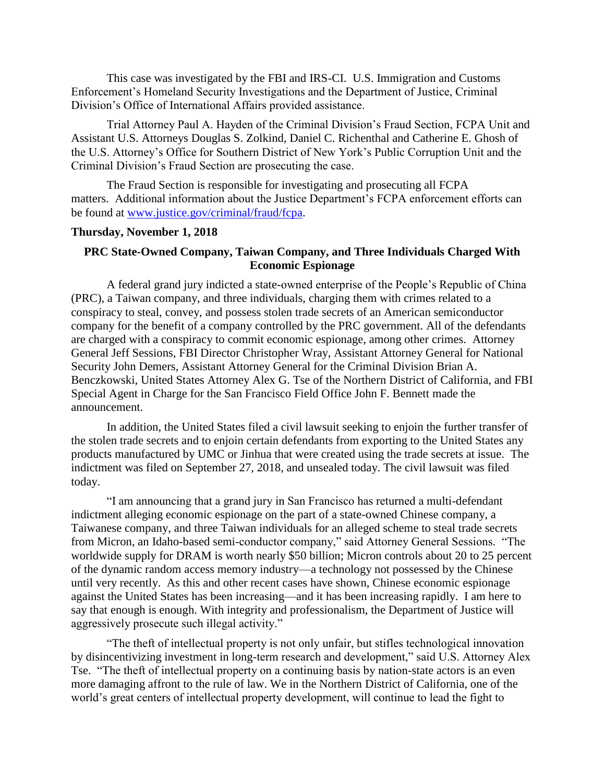This case was investigated by the FBI and IRS-CI. U.S. Immigration and Customs Enforcement's Homeland Security Investigations and the Department of Justice, Criminal Division's Office of International Affairs provided assistance.

Trial Attorney Paul A. Hayden of the Criminal Division's Fraud Section, FCPA Unit and Assistant U.S. Attorneys Douglas S. Zolkind, Daniel C. Richenthal and Catherine E. Ghosh of the U.S. Attorney's Office for Southern District of New York's Public Corruption Unit and the Criminal Division's Fraud Section are prosecuting the case.

The Fraud Section is responsible for investigating and prosecuting all FCPA matters. Additional information about the Justice Department's FCPA enforcement efforts can be found at [www.justice.gov/criminal/fraud/fcpa.](http://www.justice.gov/criminal/fraud/fcpa)

#### **Thursday, November 1, 2018**

# **PRC State-Owned Company, Taiwan Company, and Three Individuals Charged With Economic Espionage**

A federal grand jury indicted a state-owned enterprise of the People's Republic of China (PRC), a Taiwan company, and three individuals, charging them with crimes related to a conspiracy to steal, convey, and possess stolen trade secrets of an American semiconductor company for the benefit of a company controlled by the PRC government. All of the defendants are charged with a conspiracy to commit economic espionage, among other crimes. Attorney General Jeff Sessions, FBI Director Christopher Wray, Assistant Attorney General for National Security John Demers, Assistant Attorney General for the Criminal Division Brian A. Benczkowski, United States Attorney Alex G. Tse of the Northern District of California, and FBI Special Agent in Charge for the San Francisco Field Office John F. Bennett made the announcement.

In addition, the United States filed a civil lawsuit seeking to enjoin the further transfer of the stolen trade secrets and to enjoin certain defendants from exporting to the United States any products manufactured by UMC or Jinhua that were created using the trade secrets at issue. The indictment was filed on September 27, 2018, and unsealed today. The civil lawsuit was filed today.

"I am announcing that a grand jury in San Francisco has returned a multi-defendant indictment alleging economic espionage on the part of a state-owned Chinese company, a Taiwanese company, and three Taiwan individuals for an alleged scheme to steal trade secrets from Micron, an Idaho-based semi-conductor company," said Attorney General Sessions. "The worldwide supply for DRAM is worth nearly \$50 billion; Micron controls about 20 to 25 percent of the dynamic random access memory industry—a technology not possessed by the Chinese until very recently. As this and other recent cases have shown, Chinese economic espionage against the United States has been increasing—and it has been increasing rapidly. I am here to say that enough is enough. With integrity and professionalism, the Department of Justice will aggressively prosecute such illegal activity."

"The theft of intellectual property is not only unfair, but stifles technological innovation by disincentivizing investment in long-term research and development," said U.S. Attorney Alex Tse. "The theft of intellectual property on a continuing basis by nation-state actors is an even more damaging affront to the rule of law. We in the Northern District of California, one of the world's great centers of intellectual property development, will continue to lead the fight to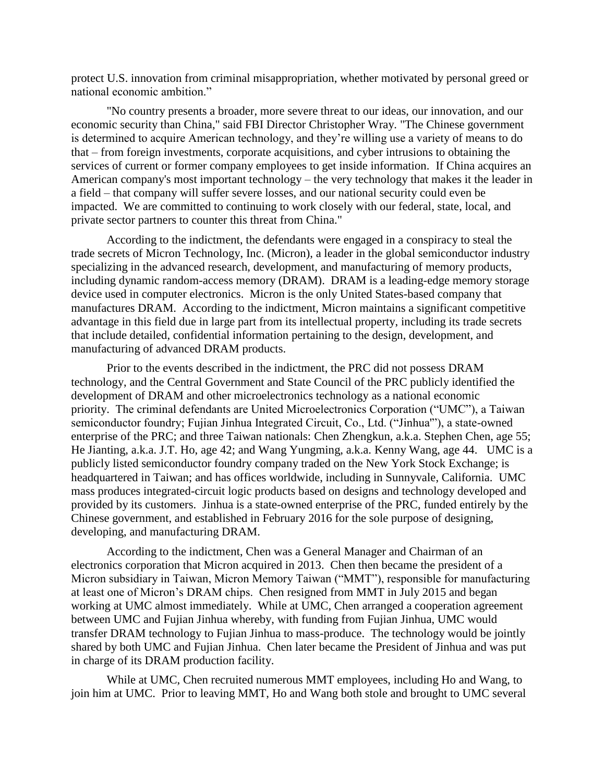protect U.S. innovation from criminal misappropriation, whether motivated by personal greed or national economic ambition."

"No country presents a broader, more severe threat to our ideas, our innovation, and our economic security than China," said FBI Director Christopher Wray. "The Chinese government is determined to acquire American technology, and they're willing use a variety of means to do that – from foreign investments, corporate acquisitions, and cyber intrusions to obtaining the services of current or former company employees to get inside information. If China acquires an American company's most important technology – the very technology that makes it the leader in a field – that company will suffer severe losses, and our national security could even be impacted. We are committed to continuing to work closely with our federal, state, local, and private sector partners to counter this threat from China."

According to the indictment, the defendants were engaged in a conspiracy to steal the trade secrets of Micron Technology, Inc. (Micron), a leader in the global semiconductor industry specializing in the advanced research, development, and manufacturing of memory products, including dynamic random-access memory (DRAM). DRAM is a leading-edge memory storage device used in computer electronics. Micron is the only United States-based company that manufactures DRAM. According to the indictment, Micron maintains a significant competitive advantage in this field due in large part from its intellectual property, including its trade secrets that include detailed, confidential information pertaining to the design, development, and manufacturing of advanced DRAM products.

Prior to the events described in the indictment, the PRC did not possess DRAM technology, and the Central Government and State Council of the PRC publicly identified the development of DRAM and other microelectronics technology as a national economic priority. The criminal defendants are United Microelectronics Corporation ("UMC"), a Taiwan semiconductor foundry; Fujian Jinhua Integrated Circuit, Co., Ltd. ("Jinhua'"), a state-owned enterprise of the PRC; and three Taiwan nationals: Chen Zhengkun, a.k.a. Stephen Chen, age 55; He Jianting, a.k.a. J.T. Ho, age 42; and Wang Yungming, a.k.a. Kenny Wang, age 44. UMC is a publicly listed semiconductor foundry company traded on the New York Stock Exchange; is headquartered in Taiwan; and has offices worldwide, including in Sunnyvale, California. UMC mass produces integrated-circuit logic products based on designs and technology developed and provided by its customers. Jinhua is a state-owned enterprise of the PRC, funded entirely by the Chinese government, and established in February 2016 for the sole purpose of designing, developing, and manufacturing DRAM.

According to the indictment, Chen was a General Manager and Chairman of an electronics corporation that Micron acquired in 2013. Chen then became the president of a Micron subsidiary in Taiwan, Micron Memory Taiwan ("MMT"), responsible for manufacturing at least one of Micron's DRAM chips. Chen resigned from MMT in July 2015 and began working at UMC almost immediately. While at UMC, Chen arranged a cooperation agreement between UMC and Fujian Jinhua whereby, with funding from Fujian Jinhua, UMC would transfer DRAM technology to Fujian Jinhua to mass-produce. The technology would be jointly shared by both UMC and Fujian Jinhua. Chen later became the President of Jinhua and was put in charge of its DRAM production facility.

While at UMC, Chen recruited numerous MMT employees, including Ho and Wang, to join him at UMC. Prior to leaving MMT, Ho and Wang both stole and brought to UMC several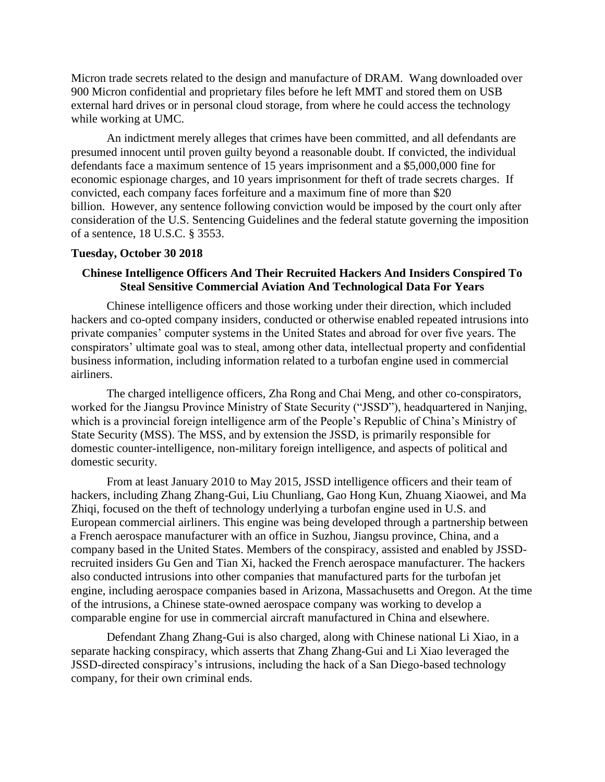Micron trade secrets related to the design and manufacture of DRAM. Wang downloaded over 900 Micron confidential and proprietary files before he left MMT and stored them on USB external hard drives or in personal cloud storage, from where he could access the technology while working at UMC.

An indictment merely alleges that crimes have been committed, and all defendants are presumed innocent until proven guilty beyond a reasonable doubt. If convicted, the individual defendants face a maximum sentence of 15 years imprisonment and a \$5,000,000 fine for economic espionage charges, and 10 years imprisonment for theft of trade secrets charges. If convicted, each company faces forfeiture and a maximum fine of more than \$20 billion. However, any sentence following conviction would be imposed by the court only after consideration of the U.S. Sentencing Guidelines and the federal statute governing the imposition of a sentence, 18 U.S.C. § 3553.

#### **Tuesday, October 30 2018**

## **Chinese Intelligence Officers And Their Recruited Hackers And Insiders Conspired To Steal Sensitive Commercial Aviation And Technological Data For Years**

Chinese intelligence officers and those working under their direction, which included hackers and co-opted company insiders, conducted or otherwise enabled repeated intrusions into private companies' computer systems in the United States and abroad for over five years. The conspirators' ultimate goal was to steal, among other data, intellectual property and confidential business information, including information related to a turbofan engine used in commercial airliners.

The charged intelligence officers, Zha Rong and Chai Meng, and other co-conspirators, worked for the Jiangsu Province Ministry of State Security ("JSSD"), headquartered in Nanjing, which is a provincial foreign intelligence arm of the People's Republic of China's Ministry of State Security (MSS). The MSS, and by extension the JSSD, is primarily responsible for domestic counter-intelligence, non-military foreign intelligence, and aspects of political and domestic security.

From at least January 2010 to May 2015, JSSD intelligence officers and their team of hackers, including Zhang Zhang-Gui, Liu Chunliang, Gao Hong Kun, Zhuang Xiaowei, and Ma Zhiqi, focused on the theft of technology underlying a turbofan engine used in U.S. and European commercial airliners. This engine was being developed through a partnership between a French aerospace manufacturer with an office in Suzhou, Jiangsu province, China, and a company based in the United States. Members of the conspiracy, assisted and enabled by JSSDrecruited insiders Gu Gen and Tian Xi, hacked the French aerospace manufacturer. The hackers also conducted intrusions into other companies that manufactured parts for the turbofan jet engine, including aerospace companies based in Arizona, Massachusetts and Oregon. At the time of the intrusions, a Chinese state-owned aerospace company was working to develop a comparable engine for use in commercial aircraft manufactured in China and elsewhere.

Defendant Zhang Zhang-Gui is also charged, along with Chinese national Li Xiao, in a separate hacking conspiracy, which asserts that Zhang Zhang-Gui and Li Xiao leveraged the JSSD-directed conspiracy's intrusions, including the hack of a San Diego-based technology company, for their own criminal ends.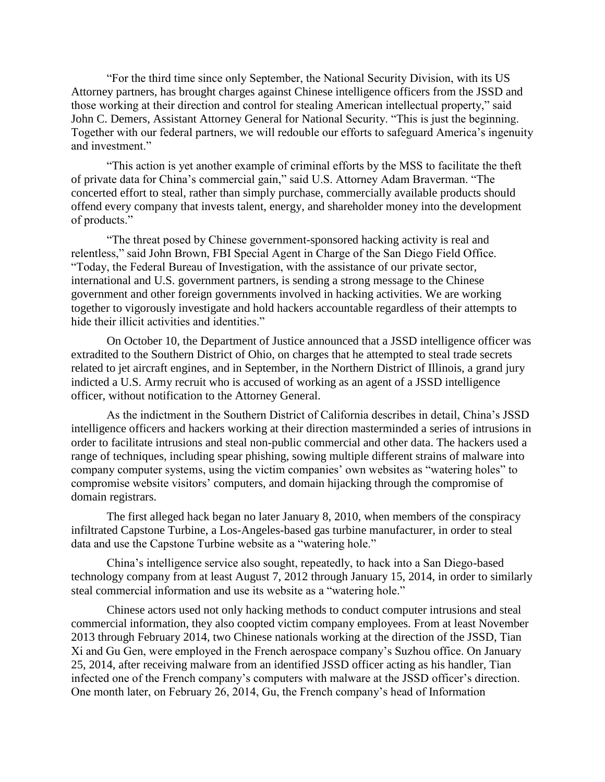"For the third time since only September, the National Security Division, with its US Attorney partners, has brought charges against Chinese intelligence officers from the JSSD and those working at their direction and control for stealing American intellectual property," said John C. Demers, Assistant Attorney General for National Security. "This is just the beginning. Together with our federal partners, we will redouble our efforts to safeguard America's ingenuity and investment."

"This action is yet another example of criminal efforts by the MSS to facilitate the theft of private data for China's commercial gain," said U.S. Attorney Adam Braverman. "The concerted effort to steal, rather than simply purchase, commercially available products should offend every company that invests talent, energy, and shareholder money into the development of products."

"The threat posed by Chinese government-sponsored hacking activity is real and relentless," said John Brown, FBI Special Agent in Charge of the San Diego Field Office. "Today, the Federal Bureau of Investigation, with the assistance of our private sector, international and U.S. government partners, is sending a strong message to the Chinese government and other foreign governments involved in hacking activities. We are working together to vigorously investigate and hold hackers accountable regardless of their attempts to hide their illicit activities and identities."

On October 10, the Department of Justice announced that a JSSD intelligence officer was extradited to the Southern District of Ohio, on charges that he attempted to steal trade secrets related to jet aircraft engines, and in September, in the Northern District of Illinois, a grand jury indicted a U.S. Army recruit who is accused of working as an agent of a JSSD intelligence officer, without notification to the Attorney General.

As the indictment in the Southern District of California describes in detail, China's JSSD intelligence officers and hackers working at their direction masterminded a series of intrusions in order to facilitate intrusions and steal non-public commercial and other data. The hackers used a range of techniques, including spear phishing, sowing multiple different strains of malware into company computer systems, using the victim companies' own websites as "watering holes" to compromise website visitors' computers, and domain hijacking through the compromise of domain registrars.

The first alleged hack began no later January 8, 2010, when members of the conspiracy infiltrated Capstone Turbine, a Los-Angeles-based gas turbine manufacturer, in order to steal data and use the Capstone Turbine website as a "watering hole."

China's intelligence service also sought, repeatedly, to hack into a San Diego-based technology company from at least August 7, 2012 through January 15, 2014, in order to similarly steal commercial information and use its website as a "watering hole."

Chinese actors used not only hacking methods to conduct computer intrusions and steal commercial information, they also coopted victim company employees. From at least November 2013 through February 2014, two Chinese nationals working at the direction of the JSSD, Tian Xi and Gu Gen, were employed in the French aerospace company's Suzhou office. On January 25, 2014, after receiving malware from an identified JSSD officer acting as his handler, Tian infected one of the French company's computers with malware at the JSSD officer's direction. One month later, on February 26, 2014, Gu, the French company's head of Information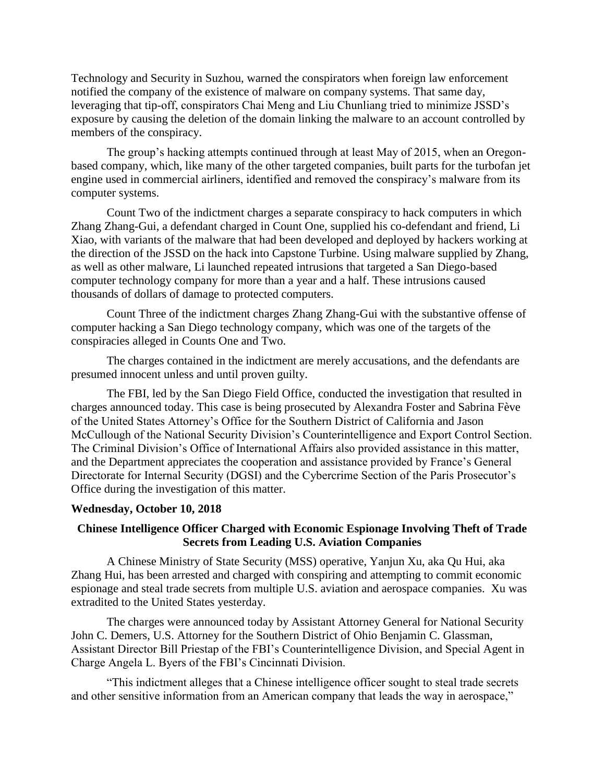Technology and Security in Suzhou, warned the conspirators when foreign law enforcement notified the company of the existence of malware on company systems. That same day, leveraging that tip-off, conspirators Chai Meng and Liu Chunliang tried to minimize JSSD's exposure by causing the deletion of the domain linking the malware to an account controlled by members of the conspiracy.

The group's hacking attempts continued through at least May of 2015, when an Oregonbased company, which, like many of the other targeted companies, built parts for the turbofan jet engine used in commercial airliners, identified and removed the conspiracy's malware from its computer systems.

Count Two of the indictment charges a separate conspiracy to hack computers in which Zhang Zhang-Gui, a defendant charged in Count One, supplied his co-defendant and friend, Li Xiao, with variants of the malware that had been developed and deployed by hackers working at the direction of the JSSD on the hack into Capstone Turbine. Using malware supplied by Zhang, as well as other malware, Li launched repeated intrusions that targeted a San Diego-based computer technology company for more than a year and a half. These intrusions caused thousands of dollars of damage to protected computers.

Count Three of the indictment charges Zhang Zhang-Gui with the substantive offense of computer hacking a San Diego technology company, which was one of the targets of the conspiracies alleged in Counts One and Two.

The charges contained in the indictment are merely accusations, and the defendants are presumed innocent unless and until proven guilty.

The FBI, led by the San Diego Field Office, conducted the investigation that resulted in charges announced today. This case is being prosecuted by Alexandra Foster and Sabrina Fève of the United States Attorney's Office for the Southern District of California and Jason McCullough of the National Security Division's Counterintelligence and Export Control Section. The Criminal Division's Office of International Affairs also provided assistance in this matter, and the Department appreciates the cooperation and assistance provided by France's General Directorate for Internal Security (DGSI) and the Cybercrime Section of the Paris Prosecutor's Office during the investigation of this matter.

### **Wednesday, October 10, 2018**

# **Chinese Intelligence Officer Charged with Economic Espionage Involving Theft of Trade Secrets from Leading U.S. Aviation Companies**

A Chinese Ministry of State Security (MSS) operative, Yanjun Xu, aka Qu Hui, aka Zhang Hui, has been arrested and charged with conspiring and attempting to commit economic espionage and steal trade secrets from multiple U.S. aviation and aerospace companies. Xu was extradited to the United States yesterday.

The charges were announced today by Assistant Attorney General for National Security John C. Demers, U.S. Attorney for the Southern District of Ohio Benjamin C. Glassman, Assistant Director Bill Priestap of the FBI's Counterintelligence Division, and Special Agent in Charge Angela L. Byers of the FBI's Cincinnati Division.

"This indictment alleges that a Chinese intelligence officer sought to steal trade secrets and other sensitive information from an American company that leads the way in aerospace,"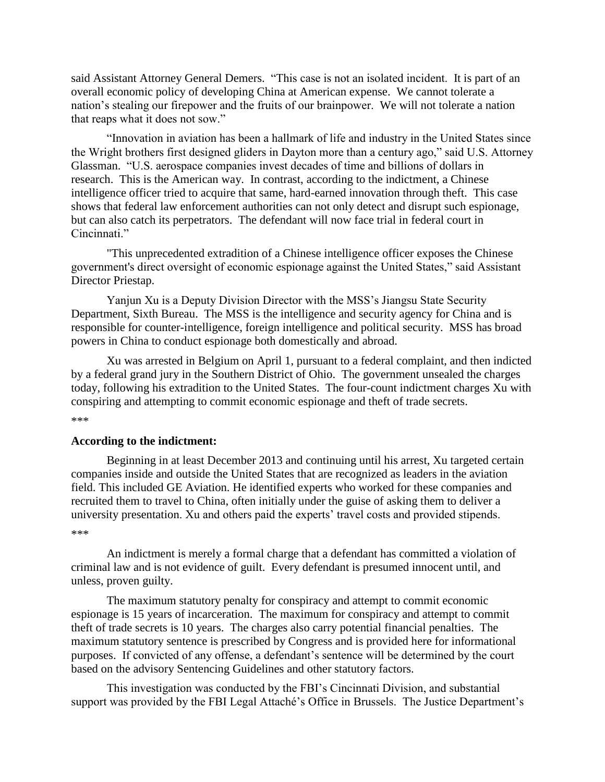said Assistant Attorney General Demers. "This case is not an isolated incident. It is part of an overall economic policy of developing China at American expense. We cannot tolerate a nation's stealing our firepower and the fruits of our brainpower. We will not tolerate a nation that reaps what it does not sow."

"Innovation in aviation has been a hallmark of life and industry in the United States since the Wright brothers first designed gliders in Dayton more than a century ago," said U.S. Attorney Glassman. "U.S. aerospace companies invest decades of time and billions of dollars in research. This is the American way. In contrast, according to the indictment, a Chinese intelligence officer tried to acquire that same, hard-earned innovation through theft. This case shows that federal law enforcement authorities can not only detect and disrupt such espionage, but can also catch its perpetrators. The defendant will now face trial in federal court in Cincinnati."

"This unprecedented extradition of a Chinese intelligence officer exposes the Chinese government's direct oversight of economic espionage against the United States," said Assistant Director Priestap.

Yanjun Xu is a Deputy Division Director with the MSS's Jiangsu State Security Department, Sixth Bureau. The MSS is the intelligence and security agency for China and is responsible for counter-intelligence, foreign intelligence and political security. MSS has broad powers in China to conduct espionage both domestically and abroad.

Xu was arrested in Belgium on April 1, pursuant to a federal complaint, and then indicted by a federal grand jury in the Southern District of Ohio. The government unsealed the charges today, following his extradition to the United States. The four-count indictment charges Xu with conspiring and attempting to commit economic espionage and theft of trade secrets. \*\*\*

#### **According to the indictment:**

Beginning in at least December 2013 and continuing until his arrest, Xu targeted certain companies inside and outside the United States that are recognized as leaders in the aviation field. This included GE Aviation. He identified experts who worked for these companies and recruited them to travel to China, often initially under the guise of asking them to deliver a university presentation. Xu and others paid the experts' travel costs and provided stipends. \*\*\*

An indictment is merely a formal charge that a defendant has committed a violation of criminal law and is not evidence of guilt. Every defendant is presumed innocent until, and unless, proven guilty.

The maximum statutory penalty for conspiracy and attempt to commit economic espionage is 15 years of incarceration. The maximum for conspiracy and attempt to commit theft of trade secrets is 10 years. The charges also carry potential financial penalties. The maximum statutory sentence is prescribed by Congress and is provided here for informational purposes. If convicted of any offense, a defendant's sentence will be determined by the court based on the advisory Sentencing Guidelines and other statutory factors.

This investigation was conducted by the FBI's Cincinnati Division, and substantial support was provided by the FBI Legal Attaché's Office in Brussels. The Justice Department's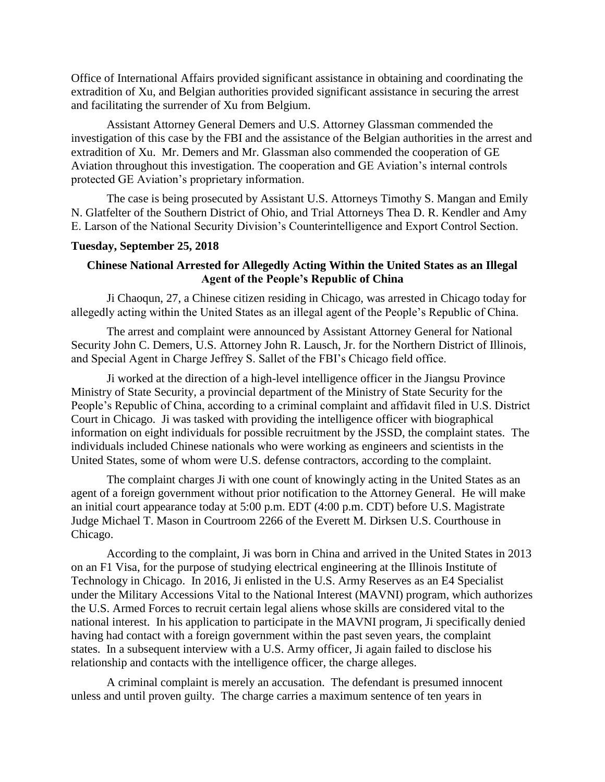Office of International Affairs provided significant assistance in obtaining and coordinating the extradition of Xu, and Belgian authorities provided significant assistance in securing the arrest and facilitating the surrender of Xu from Belgium.

Assistant Attorney General Demers and U.S. Attorney Glassman commended the investigation of this case by the FBI and the assistance of the Belgian authorities in the arrest and extradition of Xu. Mr. Demers and Mr. Glassman also commended the cooperation of GE Aviation throughout this investigation. The cooperation and GE Aviation's internal controls protected GE Aviation's proprietary information.

The case is being prosecuted by Assistant U.S. Attorneys Timothy S. Mangan and Emily N. Glatfelter of the Southern District of Ohio, and Trial Attorneys Thea D. R. Kendler and Amy E. Larson of the National Security Division's Counterintelligence and Export Control Section.

### **Tuesday, September 25, 2018**

## **Chinese National Arrested for Allegedly Acting Within the United States as an Illegal Agent of the People's Republic of China**

Ji Chaoqun, 27, a Chinese citizen residing in Chicago, was arrested in Chicago today for allegedly acting within the United States as an illegal agent of the People's Republic of China.

The arrest and complaint were announced by Assistant Attorney General for National Security John C. Demers, U.S. Attorney John R. Lausch, Jr. for the Northern District of Illinois, and Special Agent in Charge Jeffrey S. Sallet of the FBI's Chicago field office.

Ji worked at the direction of a high-level intelligence officer in the Jiangsu Province Ministry of State Security, a provincial department of the Ministry of State Security for the People's Republic of China, according to a criminal complaint and affidavit filed in U.S. District Court in Chicago. Ji was tasked with providing the intelligence officer with biographical information on eight individuals for possible recruitment by the JSSD, the complaint states. The individuals included Chinese nationals who were working as engineers and scientists in the United States, some of whom were U.S. defense contractors, according to the complaint.

The complaint charges Ji with one count of knowingly acting in the United States as an agent of a foreign government without prior notification to the Attorney General. He will make an initial court appearance today at 5:00 p.m. EDT (4:00 p.m. CDT) before U.S. Magistrate Judge Michael T. Mason in Courtroom 2266 of the Everett M. Dirksen U.S. Courthouse in Chicago.

According to the complaint, Ji was born in China and arrived in the United States in 2013 on an F1 Visa, for the purpose of studying electrical engineering at the Illinois Institute of Technology in Chicago. In 2016, Ji enlisted in the U.S. Army Reserves as an E4 Specialist under the Military Accessions Vital to the National Interest (MAVNI) program, which authorizes the U.S. Armed Forces to recruit certain legal aliens whose skills are considered vital to the national interest. In his application to participate in the MAVNI program, Ji specifically denied having had contact with a foreign government within the past seven years, the complaint states. In a subsequent interview with a U.S. Army officer, Ji again failed to disclose his relationship and contacts with the intelligence officer, the charge alleges.

A criminal complaint is merely an accusation. The defendant is presumed innocent unless and until proven guilty. The charge carries a maximum sentence of ten years in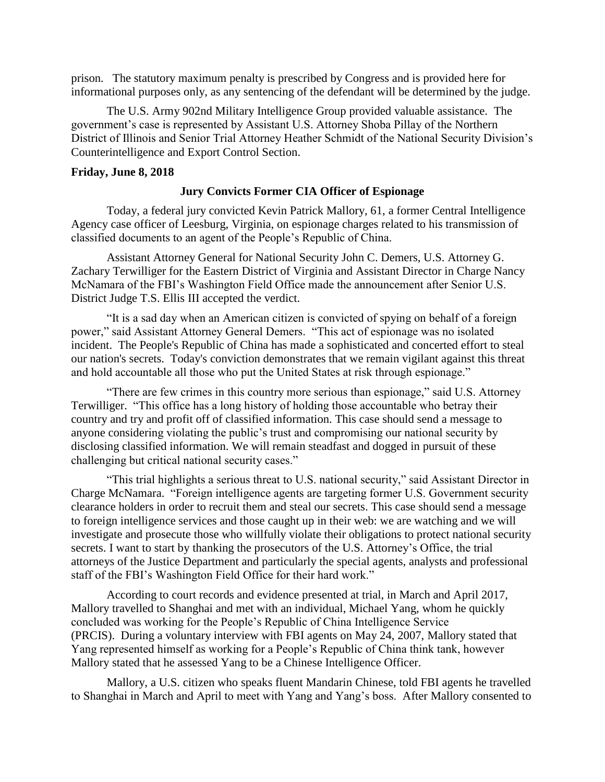prison. The statutory maximum penalty is prescribed by Congress and is provided here for informational purposes only, as any sentencing of the defendant will be determined by the judge.

The U.S. Army 902nd Military Intelligence Group provided valuable assistance. The government's case is represented by Assistant U.S. Attorney Shoba Pillay of the Northern District of Illinois and Senior Trial Attorney Heather Schmidt of the National Security Division's Counterintelligence and Export Control Section.

#### **Friday, June 8, 2018**

## **Jury Convicts Former CIA Officer of Espionage**

Today, a federal jury convicted Kevin Patrick Mallory, 61, a former Central Intelligence Agency case officer of Leesburg, Virginia, on espionage charges related to his transmission of classified documents to an agent of the People's Republic of China.

Assistant Attorney General for National Security John C. Demers, U.S. Attorney G. Zachary Terwilliger for the Eastern District of Virginia and Assistant Director in Charge Nancy McNamara of the FBI's Washington Field Office made the announcement after Senior U.S. District Judge T.S. Ellis III accepted the verdict.

"It is a sad day when an American citizen is convicted of spying on behalf of a foreign power," said Assistant Attorney General Demers. "This act of espionage was no isolated incident. The People's Republic of China has made a sophisticated and concerted effort to steal our nation's secrets. Today's conviction demonstrates that we remain vigilant against this threat and hold accountable all those who put the United States at risk through espionage."

"There are few crimes in this country more serious than espionage," said U.S. Attorney Terwilliger. "This office has a long history of holding those accountable who betray their country and try and profit off of classified information. This case should send a message to anyone considering violating the public's trust and compromising our national security by disclosing classified information. We will remain steadfast and dogged in pursuit of these challenging but critical national security cases."

"This trial highlights a serious threat to U.S. national security," said Assistant Director in Charge McNamara. "Foreign intelligence agents are targeting former U.S. Government security clearance holders in order to recruit them and steal our secrets. This case should send a message to foreign intelligence services and those caught up in their web: we are watching and we will investigate and prosecute those who willfully violate their obligations to protect national security secrets. I want to start by thanking the prosecutors of the U.S. Attorney's Office, the trial attorneys of the Justice Department and particularly the special agents, analysts and professional staff of the FBI's Washington Field Office for their hard work."

According to court records and evidence presented at trial, in March and April 2017, Mallory travelled to Shanghai and met with an individual, Michael Yang, whom he quickly concluded was working for the People's Republic of China Intelligence Service (PRCIS). During a voluntary interview with FBI agents on May 24, 2007, Mallory stated that Yang represented himself as working for a People's Republic of China think tank, however Mallory stated that he assessed Yang to be a Chinese Intelligence Officer.

Mallory, a U.S. citizen who speaks fluent Mandarin Chinese, told FBI agents he travelled to Shanghai in March and April to meet with Yang and Yang's boss. After Mallory consented to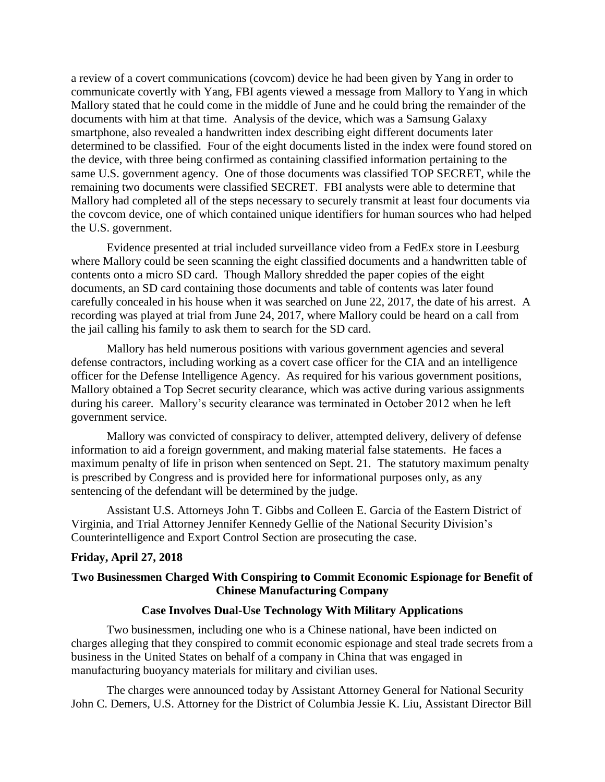a review of a covert communications (covcom) device he had been given by Yang in order to communicate covertly with Yang, FBI agents viewed a message from Mallory to Yang in which Mallory stated that he could come in the middle of June and he could bring the remainder of the documents with him at that time. Analysis of the device, which was a Samsung Galaxy smartphone, also revealed a handwritten index describing eight different documents later determined to be classified. Four of the eight documents listed in the index were found stored on the device, with three being confirmed as containing classified information pertaining to the same U.S. government agency. One of those documents was classified TOP SECRET, while the remaining two documents were classified SECRET. FBI analysts were able to determine that Mallory had completed all of the steps necessary to securely transmit at least four documents via the covcom device, one of which contained unique identifiers for human sources who had helped the U.S. government.

Evidence presented at trial included surveillance video from a FedEx store in Leesburg where Mallory could be seen scanning the eight classified documents and a handwritten table of contents onto a micro SD card. Though Mallory shredded the paper copies of the eight documents, an SD card containing those documents and table of contents was later found carefully concealed in his house when it was searched on June 22, 2017, the date of his arrest. A recording was played at trial from June 24, 2017, where Mallory could be heard on a call from the jail calling his family to ask them to search for the SD card.

Mallory has held numerous positions with various government agencies and several defense contractors, including working as a covert case officer for the CIA and an intelligence officer for the Defense Intelligence Agency. As required for his various government positions, Mallory obtained a Top Secret security clearance, which was active during various assignments during his career. Mallory's security clearance was terminated in October 2012 when he left government service.

Mallory was convicted of conspiracy to deliver, attempted delivery, delivery of defense information to aid a foreign government, and making material false statements. He faces a maximum penalty of life in prison when sentenced on Sept. 21. The statutory maximum penalty is prescribed by Congress and is provided here for informational purposes only, as any sentencing of the defendant will be determined by the judge.

Assistant U.S. Attorneys John T. Gibbs and Colleen E. Garcia of the Eastern District of Virginia, and Trial Attorney Jennifer Kennedy Gellie of the National Security Division's Counterintelligence and Export Control Section are prosecuting the case.

### **Friday, April 27, 2018**

## **Two Businessmen Charged With Conspiring to Commit Economic Espionage for Benefit of Chinese Manufacturing Company**

### **Case Involves Dual-Use Technology With Military Applications**

 Two businessmen, including one who is a Chinese national, have been indicted on charges alleging that they conspired to commit economic espionage and steal trade secrets from a business in the United States on behalf of a company in China that was engaged in manufacturing buoyancy materials for military and civilian uses.

 The charges were announced today by Assistant Attorney General for National Security John C. Demers, U.S. Attorney for the District of Columbia Jessie K. Liu, Assistant Director Bill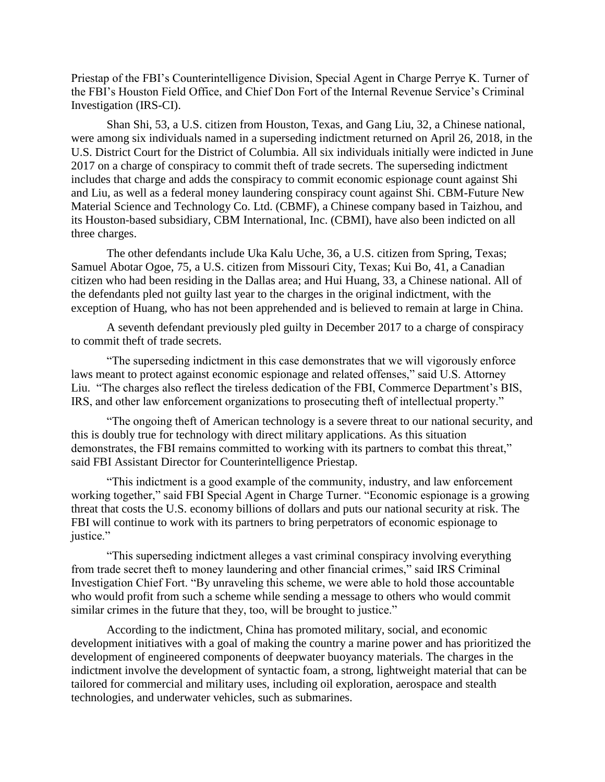Priestap of the FBI's Counterintelligence Division, Special Agent in Charge Perrye K. Turner of the FBI's Houston Field Office, and Chief Don Fort of the Internal Revenue Service's Criminal Investigation (IRS-CI).

 Shan Shi, 53, a U.S. citizen from Houston, Texas, and Gang Liu, 32, a Chinese national, were among six individuals named in a superseding indictment returned on April 26, 2018, in the U.S. District Court for the District of Columbia. All six individuals initially were indicted in June 2017 on a charge of conspiracy to commit theft of trade secrets. The superseding indictment includes that charge and adds the conspiracy to commit economic espionage count against Shi and Liu, as well as a federal money laundering conspiracy count against Shi. CBM-Future New Material Science and Technology Co. Ltd. (CBMF), a Chinese company based in Taizhou, and its Houston-based subsidiary, CBM International, Inc. (CBMI), have also been indicted on all three charges.

 The other defendants include Uka Kalu Uche, 36, a U.S. citizen from Spring, Texas; Samuel Abotar Ogoe, 75, a U.S. citizen from Missouri City, Texas; Kui Bo, 41, a Canadian citizen who had been residing in the Dallas area; and Hui Huang, 33, a Chinese national. All of the defendants pled not guilty last year to the charges in the original indictment, with the exception of Huang, who has not been apprehended and is believed to remain at large in China.

 A seventh defendant previously pled guilty in December 2017 to a charge of conspiracy to commit theft of trade secrets.

 "The superseding indictment in this case demonstrates that we will vigorously enforce laws meant to protect against economic espionage and related offenses," said U.S. Attorney Liu. "The charges also reflect the tireless dedication of the FBI, Commerce Department's BIS, IRS, and other law enforcement organizations to prosecuting theft of intellectual property."

 "The ongoing theft of American technology is a severe threat to our national security, and this is doubly true for technology with direct military applications. As this situation demonstrates, the FBI remains committed to working with its partners to combat this threat," said FBI Assistant Director for Counterintelligence Priestap.

 "This indictment is a good example of the community, industry, and law enforcement working together," said FBI Special Agent in Charge Turner. "Economic espionage is a growing threat that costs the U.S. economy billions of dollars and puts our national security at risk. The FBI will continue to work with its partners to bring perpetrators of economic espionage to justice."

 "This superseding indictment alleges a vast criminal conspiracy involving everything from trade secret theft to money laundering and other financial crimes," said IRS Criminal Investigation Chief Fort. "By unraveling this scheme, we were able to hold those accountable who would profit from such a scheme while sending a message to others who would commit similar crimes in the future that they, too, will be brought to justice."

 According to the indictment, China has promoted military, social, and economic development initiatives with a goal of making the country a marine power and has prioritized the development of engineered components of deepwater buoyancy materials. The charges in the indictment involve the development of syntactic foam, a strong, lightweight material that can be tailored for commercial and military uses, including oil exploration, aerospace and stealth technologies, and underwater vehicles, such as submarines.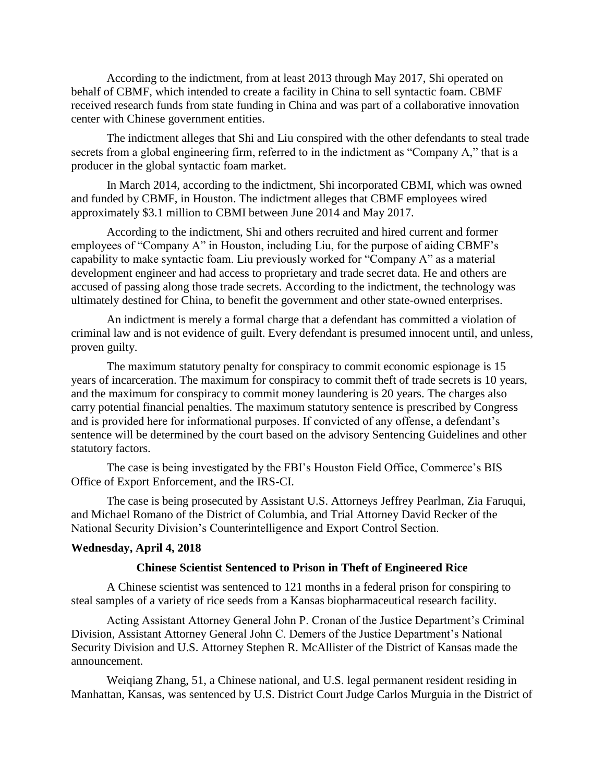According to the indictment, from at least 2013 through May 2017, Shi operated on behalf of CBMF, which intended to create a facility in China to sell syntactic foam. CBMF received research funds from state funding in China and was part of a collaborative innovation center with Chinese government entities.

 The indictment alleges that Shi and Liu conspired with the other defendants to steal trade secrets from a global engineering firm, referred to in the indictment as "Company A," that is a producer in the global syntactic foam market.

 In March 2014, according to the indictment, Shi incorporated CBMI, which was owned and funded by CBMF, in Houston. The indictment alleges that CBMF employees wired approximately \$3.1 million to CBMI between June 2014 and May 2017.

 According to the indictment, Shi and others recruited and hired current and former employees of "Company A" in Houston, including Liu, for the purpose of aiding CBMF's capability to make syntactic foam. Liu previously worked for "Company A" as a material development engineer and had access to proprietary and trade secret data. He and others are accused of passing along those trade secrets. According to the indictment, the technology was ultimately destined for China, to benefit the government and other state-owned enterprises.

 An indictment is merely a formal charge that a defendant has committed a violation of criminal law and is not evidence of guilt. Every defendant is presumed innocent until, and unless, proven guilty.

 The maximum statutory penalty for conspiracy to commit economic espionage is 15 years of incarceration. The maximum for conspiracy to commit theft of trade secrets is 10 years, and the maximum for conspiracy to commit money laundering is 20 years. The charges also carry potential financial penalties. The maximum statutory sentence is prescribed by Congress and is provided here for informational purposes. If convicted of any offense, a defendant's sentence will be determined by the court based on the advisory Sentencing Guidelines and other statutory factors.

 The case is being investigated by the FBI's Houston Field Office, Commerce's BIS Office of Export Enforcement, and the IRS-CI.

 The case is being prosecuted by Assistant U.S. Attorneys Jeffrey Pearlman, Zia Faruqui, and Michael Romano of the District of Columbia, and Trial Attorney David Recker of the National Security Division's Counterintelligence and Export Control Section.

### **Wednesday, April 4, 2018**

### **Chinese Scientist Sentenced to Prison in Theft of Engineered Rice**

A Chinese scientist was sentenced to 121 months in a federal prison for conspiring to steal samples of a variety of rice seeds from a Kansas biopharmaceutical research facility.

Acting Assistant Attorney General John P. Cronan of the Justice Department's Criminal Division, Assistant Attorney General John C. Demers of the Justice Department's National Security Division and U.S. Attorney Stephen R. McAllister of the District of Kansas made the announcement.

Weiqiang Zhang, 51, a Chinese national, and U.S. legal permanent resident residing in Manhattan, Kansas, was sentenced by U.S. District Court Judge Carlos Murguia in the District of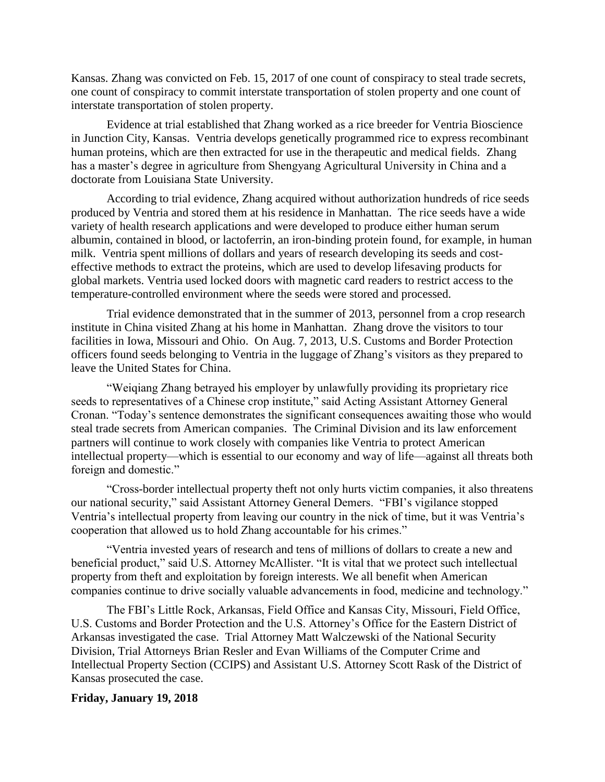Kansas. Zhang was convicted on Feb. 15, 2017 of one count of conspiracy to steal trade secrets, one count of conspiracy to commit interstate transportation of stolen property and one count of interstate transportation of stolen property.

Evidence at trial established that Zhang worked as a rice breeder for Ventria Bioscience in Junction City, Kansas. Ventria develops genetically programmed rice to express recombinant human proteins, which are then extracted for use in the therapeutic and medical fields. Zhang has a master's degree in agriculture from Shengyang Agricultural University in China and a doctorate from Louisiana State University.

According to trial evidence, Zhang acquired without authorization hundreds of rice seeds produced by Ventria and stored them at his residence in Manhattan. The rice seeds have a wide variety of health research applications and were developed to produce either human serum albumin, contained in blood, or lactoferrin, an iron-binding protein found, for example, in human milk. Ventria spent millions of dollars and years of research developing its seeds and costeffective methods to extract the proteins, which are used to develop lifesaving products for global markets. Ventria used locked doors with magnetic card readers to restrict access to the temperature-controlled environment where the seeds were stored and processed.

Trial evidence demonstrated that in the summer of 2013, personnel from a crop research institute in China visited Zhang at his home in Manhattan. Zhang drove the visitors to tour facilities in Iowa, Missouri and Ohio. On Aug. 7, 2013, U.S. Customs and Border Protection officers found seeds belonging to Ventria in the luggage of Zhang's visitors as they prepared to leave the United States for China.

"Weiqiang Zhang betrayed his employer by unlawfully providing its proprietary rice seeds to representatives of a Chinese crop institute," said Acting Assistant Attorney General Cronan. "Today's sentence demonstrates the significant consequences awaiting those who would steal trade secrets from American companies. The Criminal Division and its law enforcement partners will continue to work closely with companies like Ventria to protect American intellectual property—which is essential to our economy and way of life—against all threats both foreign and domestic."

"Cross-border intellectual property theft not only hurts victim companies, it also threatens our national security," said Assistant Attorney General Demers. "FBI's vigilance stopped Ventria's intellectual property from leaving our country in the nick of time, but it was Ventria's cooperation that allowed us to hold Zhang accountable for his crimes."

"Ventria invested years of research and tens of millions of dollars to create a new and beneficial product," said U.S. Attorney McAllister. "It is vital that we protect such intellectual property from theft and exploitation by foreign interests. We all benefit when American companies continue to drive socially valuable advancements in food, medicine and technology."

The FBI's Little Rock, Arkansas, Field Office and Kansas City, Missouri, Field Office, U.S. Customs and Border Protection and the U.S. Attorney's Office for the Eastern District of Arkansas investigated the case. Trial Attorney Matt Walczewski of the National Security Division, Trial Attorneys Brian Resler and Evan Williams of the Computer Crime and Intellectual Property Section (CCIPS) and Assistant U.S. Attorney Scott Rask of the District of Kansas prosecuted the case.

## **Friday, January 19, 2018**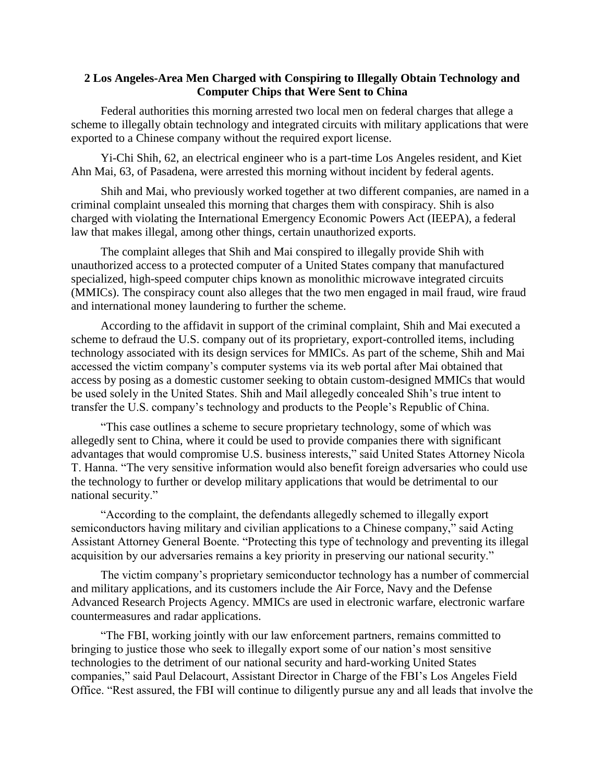## **2 Los Angeles-Area Men Charged with Conspiring to Illegally Obtain Technology and Computer Chips that Were Sent to China**

 Federal authorities this morning arrested two local men on federal charges that allege a scheme to illegally obtain technology and integrated circuits with military applications that were exported to a Chinese company without the required export license.

 Yi-Chi Shih, 62, an electrical engineer who is a part-time Los Angeles resident, and Kiet Ahn Mai, 63, of Pasadena, were arrested this morning without incident by federal agents.

 Shih and Mai, who previously worked together at two different companies, are named in a criminal complaint unsealed this morning that charges them with conspiracy. Shih is also charged with violating the International Emergency Economic Powers Act (IEEPA), a federal law that makes illegal, among other things, certain unauthorized exports.

 The complaint alleges that Shih and Mai conspired to illegally provide Shih with unauthorized access to a protected computer of a United States company that manufactured specialized, high-speed computer chips known as monolithic microwave integrated circuits (MMICs). The conspiracy count also alleges that the two men engaged in mail fraud, wire fraud and international money laundering to further the scheme.

 According to the affidavit in support of the criminal complaint, Shih and Mai executed a scheme to defraud the U.S. company out of its proprietary, export-controlled items, including technology associated with its design services for MMICs. As part of the scheme, Shih and Mai accessed the victim company's computer systems via its web portal after Mai obtained that access by posing as a domestic customer seeking to obtain custom-designed MMICs that would be used solely in the United States. Shih and Mail allegedly concealed Shih's true intent to transfer the U.S. company's technology and products to the People's Republic of China.

 "This case outlines a scheme to secure proprietary technology, some of which was allegedly sent to China, where it could be used to provide companies there with significant advantages that would compromise U.S. business interests," said United States Attorney Nicola T. Hanna. "The very sensitive information would also benefit foreign adversaries who could use the technology to further or develop military applications that would be detrimental to our national security."

 "According to the complaint, the defendants allegedly schemed to illegally export semiconductors having military and civilian applications to a Chinese company," said Acting Assistant Attorney General Boente. "Protecting this type of technology and preventing its illegal acquisition by our adversaries remains a key priority in preserving our national security."

 The victim company's proprietary semiconductor technology has a number of commercial and military applications, and its customers include the Air Force, Navy and the Defense Advanced Research Projects Agency. MMICs are used in electronic warfare, electronic warfare countermeasures and radar applications.

 "The FBI, working jointly with our law enforcement partners, remains committed to bringing to justice those who seek to illegally export some of our nation's most sensitive technologies to the detriment of our national security and hard-working United States companies," said Paul Delacourt, Assistant Director in Charge of the FBI's Los Angeles Field Office. "Rest assured, the FBI will continue to diligently pursue any and all leads that involve the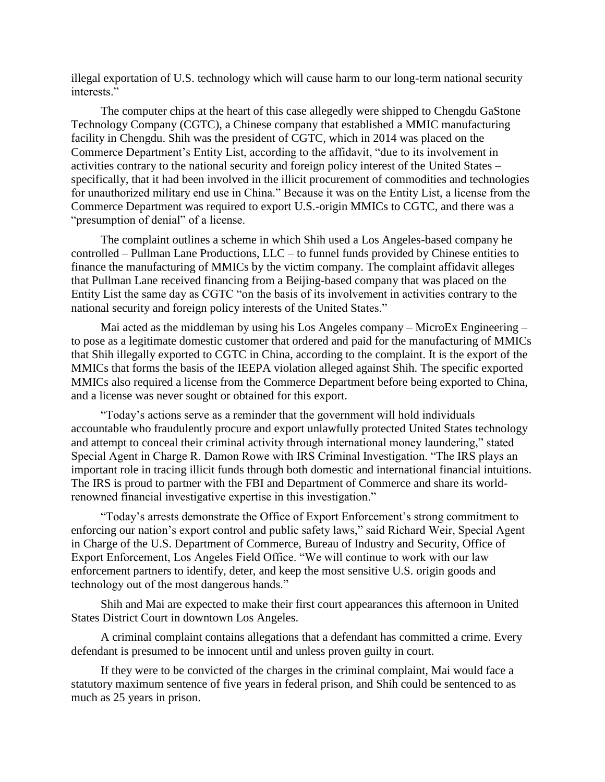illegal exportation of U.S. technology which will cause harm to our long-term national security interests."

 The computer chips at the heart of this case allegedly were shipped to Chengdu GaStone Technology Company (CGTC), a Chinese company that established a MMIC manufacturing facility in Chengdu. Shih was the president of CGTC, which in 2014 was placed on the Commerce Department's Entity List, according to the affidavit, "due to its involvement in activities contrary to the national security and foreign policy interest of the United States – specifically, that it had been involved in the illicit procurement of commodities and technologies for unauthorized military end use in China." Because it was on the Entity List, a license from the Commerce Department was required to export U.S.-origin MMICs to CGTC, and there was a "presumption of denial" of a license.

 The complaint outlines a scheme in which Shih used a Los Angeles-based company he controlled – Pullman Lane Productions, LLC – to funnel funds provided by Chinese entities to finance the manufacturing of MMICs by the victim company. The complaint affidavit alleges that Pullman Lane received financing from a Beijing-based company that was placed on the Entity List the same day as CGTC "on the basis of its involvement in activities contrary to the national security and foreign policy interests of the United States."

 Mai acted as the middleman by using his Los Angeles company – MicroEx Engineering – to pose as a legitimate domestic customer that ordered and paid for the manufacturing of MMICs that Shih illegally exported to CGTC in China, according to the complaint. It is the export of the MMICs that forms the basis of the IEEPA violation alleged against Shih. The specific exported MMICs also required a license from the Commerce Department before being exported to China, and a license was never sought or obtained for this export.

 "Today's actions serve as a reminder that the government will hold individuals accountable who fraudulently procure and export unlawfully protected United States technology and attempt to conceal their criminal activity through international money laundering," stated Special Agent in Charge R. Damon Rowe with IRS Criminal Investigation. "The IRS plays an important role in tracing illicit funds through both domestic and international financial intuitions. The IRS is proud to partner with the FBI and Department of Commerce and share its worldrenowned financial investigative expertise in this investigation."

 "Today's arrests demonstrate the Office of Export Enforcement's strong commitment to enforcing our nation's export control and public safety laws," said Richard Weir, Special Agent in Charge of the U.S. Department of Commerce, Bureau of Industry and Security, Office of Export Enforcement, Los Angeles Field Office. "We will continue to work with our law enforcement partners to identify, deter, and keep the most sensitive U.S. origin goods and technology out of the most dangerous hands."

 Shih and Mai are expected to make their first court appearances this afternoon in United States District Court in downtown Los Angeles.

 A criminal complaint contains allegations that a defendant has committed a crime. Every defendant is presumed to be innocent until and unless proven guilty in court.

 If they were to be convicted of the charges in the criminal complaint, Mai would face a statutory maximum sentence of five years in federal prison, and Shih could be sentenced to as much as 25 years in prison.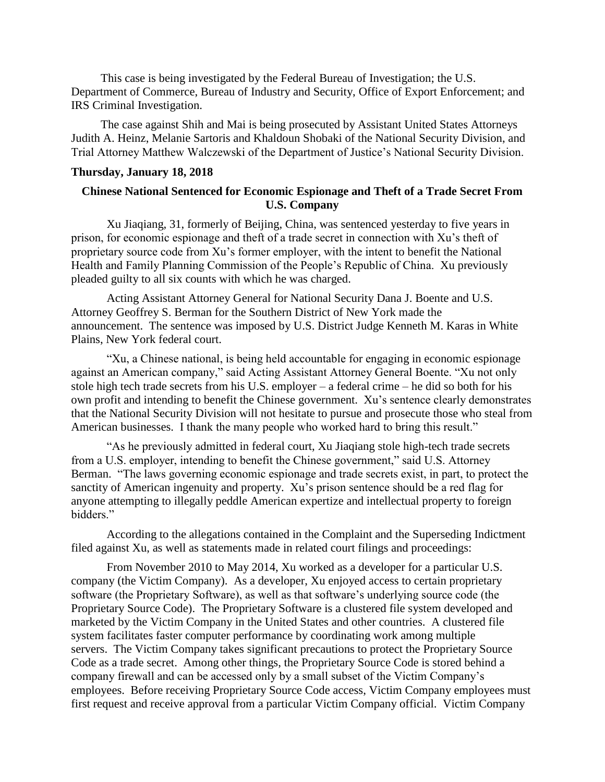This case is being investigated by the Federal Bureau of Investigation; the U.S. Department of Commerce, Bureau of Industry and Security, Office of Export Enforcement; and IRS Criminal Investigation.

 The case against Shih and Mai is being prosecuted by Assistant United States Attorneys Judith A. Heinz, Melanie Sartoris and Khaldoun Shobaki of the National Security Division, and Trial Attorney Matthew Walczewski of the Department of Justice's National Security Division.

#### **Thursday, January 18, 2018**

## **Chinese National Sentenced for Economic Espionage and Theft of a Trade Secret From U.S. Company**

Xu Jiaqiang, 31, formerly of Beijing, China, was sentenced yesterday to five years in prison, for economic espionage and theft of a trade secret in connection with Xu's theft of proprietary source code from Xu's former employer, with the intent to benefit the National Health and Family Planning Commission of the People's Republic of China. Xu previously pleaded guilty to all six counts with which he was charged.

Acting Assistant Attorney General for National Security Dana J. Boente and U.S. Attorney Geoffrey S. Berman for the Southern District of New York made the announcement. The sentence was imposed by U.S. District Judge Kenneth M. Karas in White Plains, New York federal court.

"Xu, a Chinese national, is being held accountable for engaging in economic espionage against an American company," said Acting Assistant Attorney General Boente. "Xu not only stole high tech trade secrets from his U.S. employer – a federal crime – he did so both for his own profit and intending to benefit the Chinese government. Xu's sentence clearly demonstrates that the National Security Division will not hesitate to pursue and prosecute those who steal from American businesses. I thank the many people who worked hard to bring this result."

"As he previously admitted in federal court, Xu Jiaqiang stole high-tech trade secrets from a U.S. employer, intending to benefit the Chinese government," said U.S. Attorney Berman. "The laws governing economic espionage and trade secrets exist, in part, to protect the sanctity of American ingenuity and property. Xu's prison sentence should be a red flag for anyone attempting to illegally peddle American expertize and intellectual property to foreign bidders."

According to the allegations contained in the Complaint and the Superseding Indictment filed against Xu, as well as statements made in related court filings and proceedings:

From November 2010 to May 2014, Xu worked as a developer for a particular U.S. company (the Victim Company). As a developer, Xu enjoyed access to certain proprietary software (the Proprietary Software), as well as that software's underlying source code (the Proprietary Source Code). The Proprietary Software is a clustered file system developed and marketed by the Victim Company in the United States and other countries. A clustered file system facilitates faster computer performance by coordinating work among multiple servers. The Victim Company takes significant precautions to protect the Proprietary Source Code as a trade secret. Among other things, the Proprietary Source Code is stored behind a company firewall and can be accessed only by a small subset of the Victim Company's employees. Before receiving Proprietary Source Code access, Victim Company employees must first request and receive approval from a particular Victim Company official. Victim Company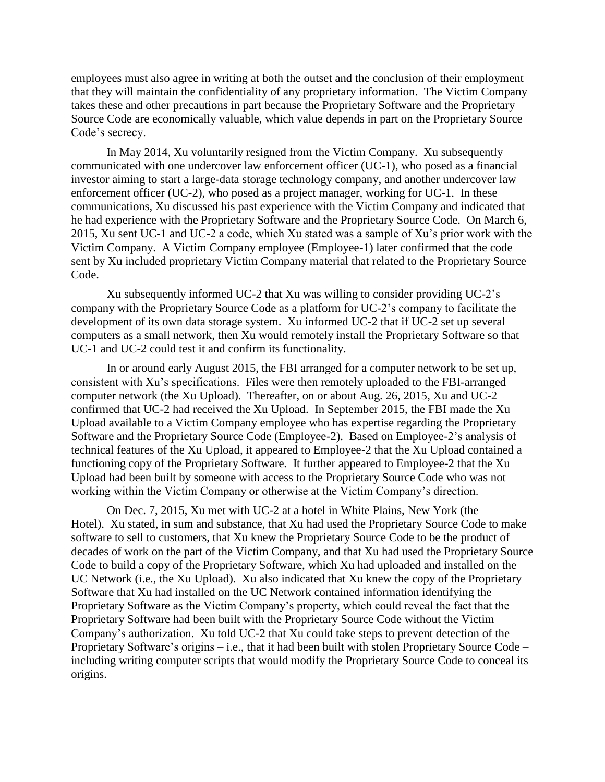employees must also agree in writing at both the outset and the conclusion of their employment that they will maintain the confidentiality of any proprietary information. The Victim Company takes these and other precautions in part because the Proprietary Software and the Proprietary Source Code are economically valuable, which value depends in part on the Proprietary Source Code's secrecy.

In May 2014, Xu voluntarily resigned from the Victim Company. Xu subsequently communicated with one undercover law enforcement officer (UC-1), who posed as a financial investor aiming to start a large-data storage technology company, and another undercover law enforcement officer (UC-2), who posed as a project manager, working for UC-1. In these communications, Xu discussed his past experience with the Victim Company and indicated that he had experience with the Proprietary Software and the Proprietary Source Code. On March 6, 2015, Xu sent UC-1 and UC-2 a code, which Xu stated was a sample of Xu's prior work with the Victim Company. A Victim Company employee (Employee-1) later confirmed that the code sent by Xu included proprietary Victim Company material that related to the Proprietary Source Code.

Xu subsequently informed UC-2 that Xu was willing to consider providing UC-2's company with the Proprietary Source Code as a platform for UC-2's company to facilitate the development of its own data storage system. Xu informed UC-2 that if UC-2 set up several computers as a small network, then Xu would remotely install the Proprietary Software so that UC-1 and UC-2 could test it and confirm its functionality.

In or around early August 2015, the FBI arranged for a computer network to be set up, consistent with Xu's specifications. Files were then remotely uploaded to the FBI-arranged computer network (the Xu Upload). Thereafter, on or about Aug. 26, 2015, Xu and UC-2 confirmed that UC-2 had received the Xu Upload. In September 2015, the FBI made the Xu Upload available to a Victim Company employee who has expertise regarding the Proprietary Software and the Proprietary Source Code (Employee-2). Based on Employee-2's analysis of technical features of the Xu Upload, it appeared to Employee-2 that the Xu Upload contained a functioning copy of the Proprietary Software. It further appeared to Employee-2 that the Xu Upload had been built by someone with access to the Proprietary Source Code who was not working within the Victim Company or otherwise at the Victim Company's direction.

On Dec. 7, 2015, Xu met with UC-2 at a hotel in White Plains, New York (the Hotel). Xu stated, in sum and substance, that Xu had used the Proprietary Source Code to make software to sell to customers, that Xu knew the Proprietary Source Code to be the product of decades of work on the part of the Victim Company, and that Xu had used the Proprietary Source Code to build a copy of the Proprietary Software, which Xu had uploaded and installed on the UC Network (i.e., the Xu Upload). Xu also indicated that Xu knew the copy of the Proprietary Software that Xu had installed on the UC Network contained information identifying the Proprietary Software as the Victim Company's property, which could reveal the fact that the Proprietary Software had been built with the Proprietary Source Code without the Victim Company's authorization. Xu told UC-2 that Xu could take steps to prevent detection of the Proprietary Software's origins – i.e., that it had been built with stolen Proprietary Source Code – including writing computer scripts that would modify the Proprietary Source Code to conceal its origins.